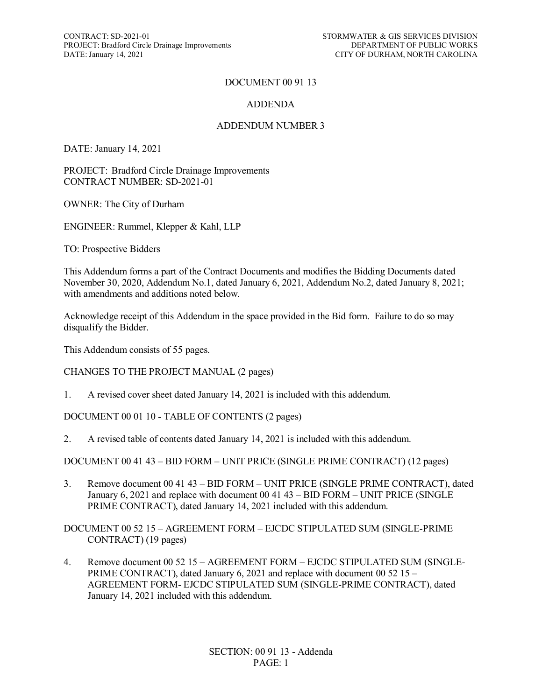CONTRACT: SD-2021-01<br>
PROJECT: Bradford Circle Drainage Improvements<br>
DEPARTMENT OF PUBLIC WORKS PROJECT: Bradford Circle Drainage Improvements DATE: January 14, 2021

#### DOCUMENT 00 91 13

#### ADDENDA

#### ADDENDUM NUMBER 3

DATE: January 14, 2021

PROJECT: Bradford Circle Drainage Improvements CONTRACT NUMBER: SD-2021-01

OWNER: The City of Durham

ENGINEER: Rummel, Klepper & Kahl, LLP

TO: Prospective Bidders

This Addendum forms a part of the Contract Documents and modifies the Bidding Documents dated November 30, 2020, Addendum No.1, dated January 6, 2021, Addendum No.2, dated January 8, 2021; with amendments and additions noted below.

Acknowledge receipt of this Addendum in the space provided in the Bid form. Failure to do so may disqualify the Bidder.

This Addendum consists of 55 pages.

CHANGES TO THE PROJECT MANUAL (2 pages)

1. A revised cover sheet dated January 14, 2021 is included with this addendum.

DOCUMENT 00 01 10 - TABLE OF CONTENTS (2 pages)

2. A revised table of contents dated January 14, 2021 is included with this addendum.

DOCUMENT 00 41 43 – BID FORM – UNIT PRICE (SINGLE PRIME CONTRACT) (12 pages)

3. Remove document 00 41 43 – BID FORM – UNIT PRICE (SINGLE PRIME CONTRACT), dated January 6, 2021 and replace with document 00 41 43 – BID FORM – UNIT PRICE (SINGLE PRIME CONTRACT), dated January 14, 2021 included with this addendum.

DOCUMENT 00 52 15 – AGREEMENT FORM – EJCDC STIPULATED SUM (SINGLE-PRIME CONTRACT) (19 pages)

4. Remove document 00 52 15 – AGREEMENT FORM – EJCDC STIPULATED SUM (SINGLE-PRIME CONTRACT), dated January 6, 2021 and replace with document 00 52 15 – AGREEMENT FORM- EJCDC STIPULATED SUM (SINGLE-PRIME CONTRACT), dated January 14, 2021 included with this addendum.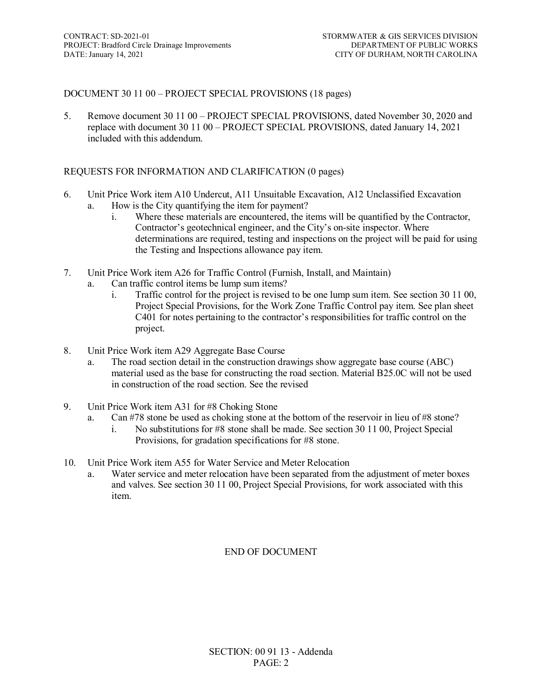# DOCUMENT 30 11 00 – PROJECT SPECIAL PROVISIONS (18 pages)

5. Remove document 30 11 00 – PROJECT SPECIAL PROVISIONS, dated November 30, 2020 and replace with document 30 11 00 – PROJECT SPECIAL PROVISIONS, dated January 14, 2021 included with this addendum.

#### REQUESTS FOR INFORMATION AND CLARIFICATION (0 pages)

- 6. Unit Price Work item A10 Undercut, A11 Unsuitable Excavation, A12 Unclassified Excavation a. How is the City quantifying the item for payment?
	- i. Where these materials are encountered, the items will be quantified by the Contractor, Contractor's geotechnical engineer, and the City's on-site inspector. Where determinations are required, testing and inspections on the project will be paid for using the Testing and Inspections allowance pay item.
- 7. Unit Price Work item A26 for Traffic Control (Furnish, Install, and Maintain)
	- a. Can traffic control items be lump sum items?
		- i. Traffic control for the project is revised to be one lump sum item. See section 30 11 00, Project Special Provisions, for the Work Zone Traffic Control pay item. See plan sheet C401 for notes pertaining to the contractor's responsibilities for traffic control on the project.
- 8. Unit Price Work item A29 Aggregate Base Course
	- a. The road section detail in the construction drawings show aggregate base course (ABC) material used as the base for constructing the road section. Material B25.0C will not be used in construction of the road section. See the revised
- 9. Unit Price Work item A31 for #8 Choking Stone
	- a. Can #78 stone be used as choking stone at the bottom of the reservoir in lieu of #8 stone?
		- i. No substitutions for #8 stone shall be made. See section 30 11 00, Project Special Provisions, for gradation specifications for #8 stone.
- 10. Unit Price Work item A55 for Water Service and Meter Relocation
	- a. Water service and meter relocation have been separated from the adjustment of meter boxes and valves. See section 30 11 00, Project Special Provisions, for work associated with this item.

#### END OF DOCUMENT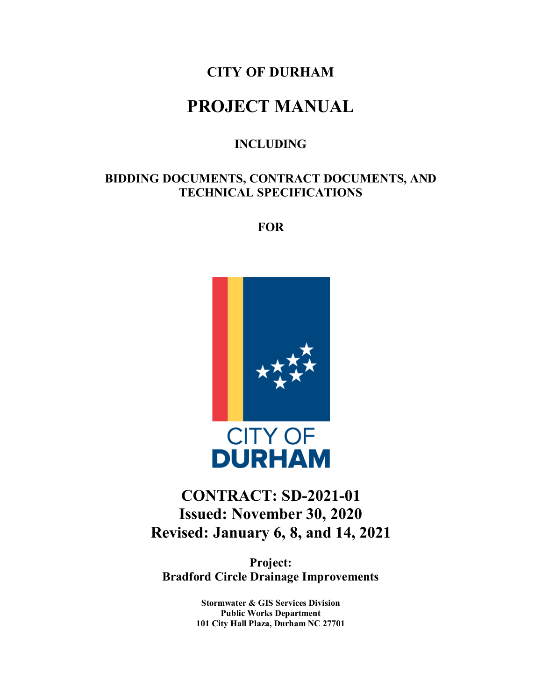# **CITY OF DURHAM**

# **PROJECT MANUAL**

# **INCLUDING**

# **BIDDING DOCUMENTS, CONTRACT DOCUMENTS, AND TECHNICAL SPECIFICATIONS**

**FOR**



# **CONTRACT: SD-2021-01 Issued: November 30, 2020 Revised: January 6, 8, and 14, 2021**

**Project: Bradford Circle Drainage Improvements**

> **Stormwater & GIS Services Division Public Works Department 101 City Hall Plaza, Durham NC 27701**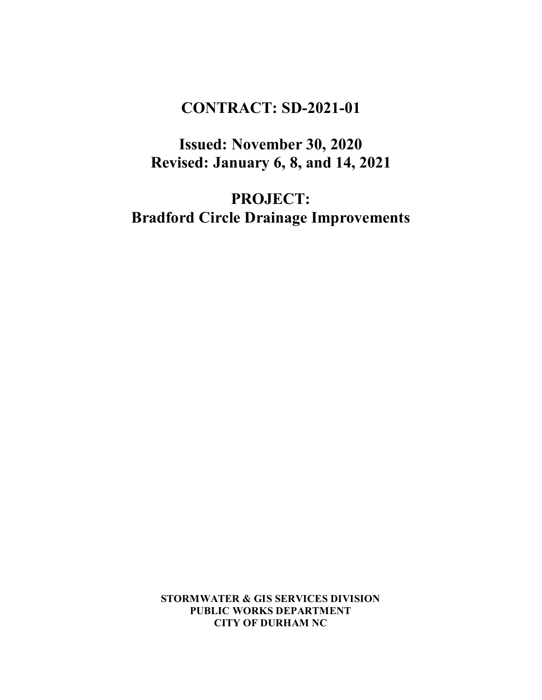# **CONTRACT: SD-2021-01**

**Issued: November 30, 2020 Revised: January 6, 8, and 14, 2021**

**PROJECT: Bradford Circle Drainage Improvements**

> **STORMWATER & GIS SERVICES DIVISION PUBLIC WORKS DEPARTMENT CITY OF DURHAM NC**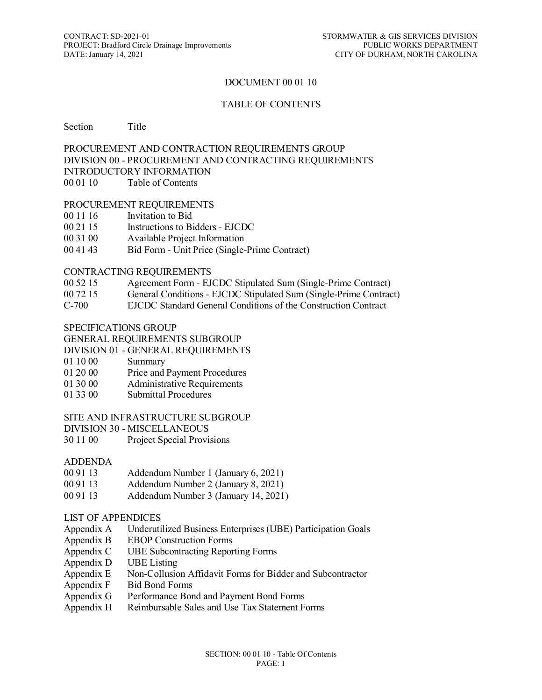#### DOCUMENT 00 01 10

#### TABLE OF CONTENTS

#### Section Title

#### PROCUREMENT AND CONTRACTION REQUIREMENTS GROUP DIVISION 00 - PROCUREMENT AND CONTRACTING REQUIREMENTS INTRODUCTORY INFORMATION 00 01 10 Table of Contents

#### PROCUREMENT REQUIREMENTS

- 00 11 16 Invitation to Bid
- 00 21 15 Instructions to Bidders EJCDC
- 00 31 00 Available Project Information
- 00 41 43 Bid Form Unit Price (Single-Prime Contract)

#### CONTRACTING REQUIREMENTS

- 00 52 15 Agreement Form EJCDC Stipulated Sum (Single-Prime Contract)
- 00 72 15 General Conditions EJCDC Stipulated Sum (Single-Prime Contract)
- C-700 EJCDC Standard General Conditions of the Construction Contract

#### SPECIFICATIONS GROUP

#### GENERAL REQUIREMENTS SUBGROUP

- DIVISION 01 GENERAL REQUIREMENTS
- 01 10 00 Summary
- 01 20 00 Price and Payment Procedures
- 01 30 00 Administrative Requirements
- 01 33 00 Submittal Procedures

#### SITE AND INFRASTRUCTURE SUBGROUP

DIVISION 30 - MISCELLANEOUS

30 11 00 Project Special Provisions

#### ADDENDA

- 00 91 13 Addendum Number 1 (January 6, 2021)
- 00 91 13 Addendum Number 2 (January 8, 2021)
- 00 91 13 Addendum Number 3 (January 14, 2021)

#### LIST OF APPENDICES

- Appendix A Underutilized Business Enterprises (UBE) Participation Goals
- Appendix B EBOP Construction Forms
- Appendix C UBE Subcontracting Reporting Forms
- Appendix D UBE Listing
- Appendix E Non-Collusion Affidavit Forms for Bidder and Subcontractor
- Appendix F Bid Bond Forms
- Appendix G Performance Bond and Payment Bond Forms
- Appendix H Reimbursable Sales and Use Tax Statement Forms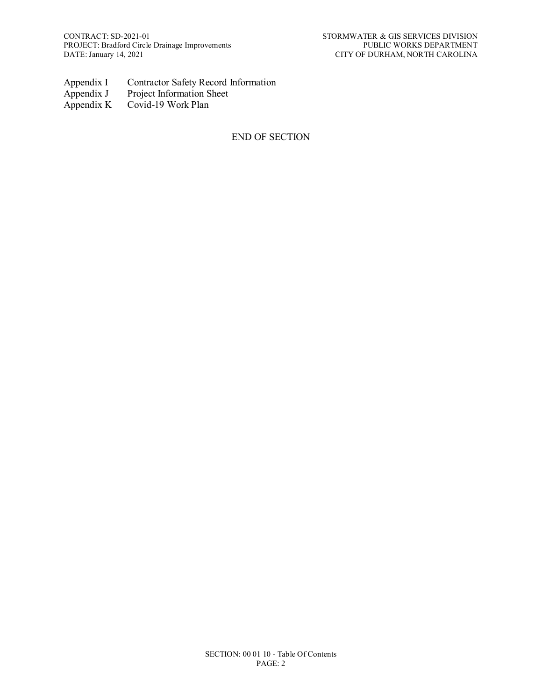- Appendix I Contractor Safety Record Information<br>Appendix J Project Information Sheet
- Appendix J Project Information Sheet<br>Appendix K Covid-19 Work Plan
- Covid-19 Work Plan

# END OF SECTION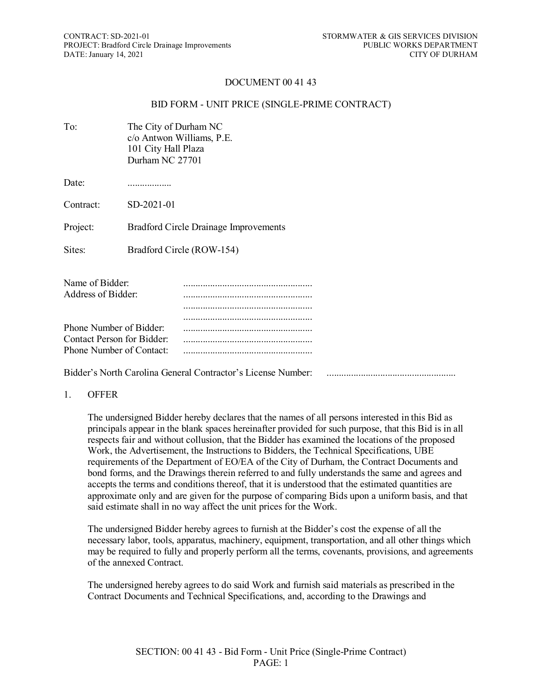#### DOCUMENT 00 41 43

#### BID FORM - UNIT PRICE (SINGLE-PRIME CONTRACT)

| To:                                   | The City of Durham NC<br>c/o Antwon Williams, P.E.<br>101 City Hall Plaza<br>Durham NC 27701 |
|---------------------------------------|----------------------------------------------------------------------------------------------|
| Date:                                 |                                                                                              |
| Contract:                             | $SD-2021-01$                                                                                 |
| Project:                              | <b>Bradford Circle Drainage Improvements</b>                                                 |
| Sites:                                | Bradford Circle (ROW-154)                                                                    |
| Name of Bidder:<br>Address of Bidder: |                                                                                              |

| Phone Number of Bidder:    |  |
|----------------------------|--|
| Contact Person for Bidder: |  |
| Phone Number of Contact:   |  |
|                            |  |

Bidder's North Carolina General Contractor's License Number: .....................................................

#### 1. OFFER

The undersigned Bidder hereby declares that the names of all persons interested in this Bid as principals appear in the blank spaces hereinafter provided for such purpose, that this Bid is in all respects fair and without collusion, that the Bidder has examined the locations of the proposed Work, the Advertisement, the Instructions to Bidders, the Technical Specifications, UBE requirements of the Department of EO/EA of the City of Durham, the Contract Documents and bond forms, and the Drawings therein referred to and fully understands the same and agrees and accepts the terms and conditions thereof, that it is understood that the estimated quantities are approximate only and are given for the purpose of comparing Bids upon a uniform basis, and that said estimate shall in no way affect the unit prices for the Work.

The undersigned Bidder hereby agrees to furnish at the Bidder's cost the expense of all the necessary labor, tools, apparatus, machinery, equipment, transportation, and all other things which may be required to fully and properly perform all the terms, covenants, provisions, and agreements of the annexed Contract.

The undersigned hereby agrees to do said Work and furnish said materials as prescribed in the Contract Documents and Technical Specifications, and, according to the Drawings and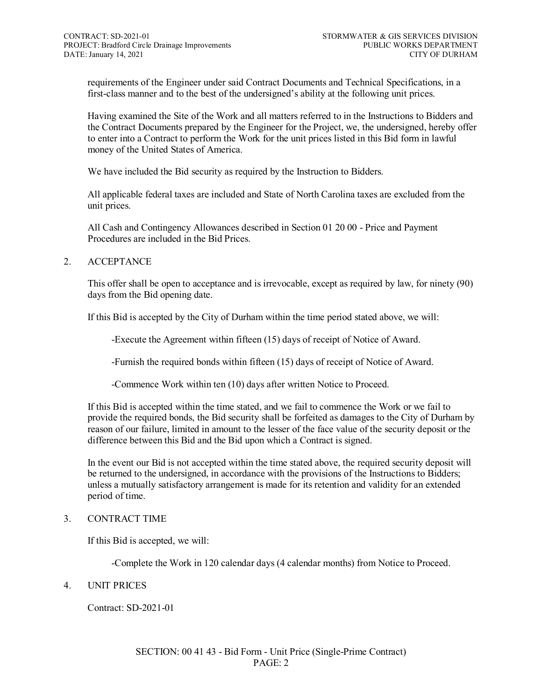requirements of the Engineer under said Contract Documents and Technical Specifications, in a first-class manner and to the best of the undersigned's ability at the following unit prices.

Having examined the Site of the Work and all matters referred to in the Instructions to Bidders and the Contract Documents prepared by the Engineer for the Project, we, the undersigned, hereby offer to enter into a Contract to perform the Work for the unit prices listed in this Bid form in lawful money of the United States of America.

We have included the Bid security as required by the Instruction to Bidders.

All applicable federal taxes are included and State of North Carolina taxes are excluded from the unit prices.

All Cash and Contingency Allowances described in Section 01 20 00 - Price and Payment Procedures are included in the Bid Prices.

#### 2. ACCEPTANCE

This offer shall be open to acceptance and is irrevocable, except as required by law, for ninety (90) days from the Bid opening date.

If this Bid is accepted by the City of Durham within the time period stated above, we will:

-Execute the Agreement within fifteen (15) days of receipt of Notice of Award.

-Furnish the required bonds within fifteen (15) days of receipt of Notice of Award.

-Commence Work within ten (10) days after written Notice to Proceed.

If this Bid is accepted within the time stated, and we fail to commence the Work or we fail to provide the required bonds, the Bid security shall be forfeited as damages to the City of Durham by reason of our failure, limited in amount to the lesser of the face value of the security deposit or the difference between this Bid and the Bid upon which a Contract is signed.

In the event our Bid is not accepted within the time stated above, the required security deposit will be returned to the undersigned, in accordance with the provisions of the Instructions to Bidders; unless a mutually satisfactory arrangement is made for its retention and validity for an extended period of time.

#### 3. CONTRACT TIME

If this Bid is accepted, we will:

-Complete the Work in 120 calendar days (4 calendar months) from Notice to Proceed.

#### 4. UNIT PRICES

Contract: SD-2021-01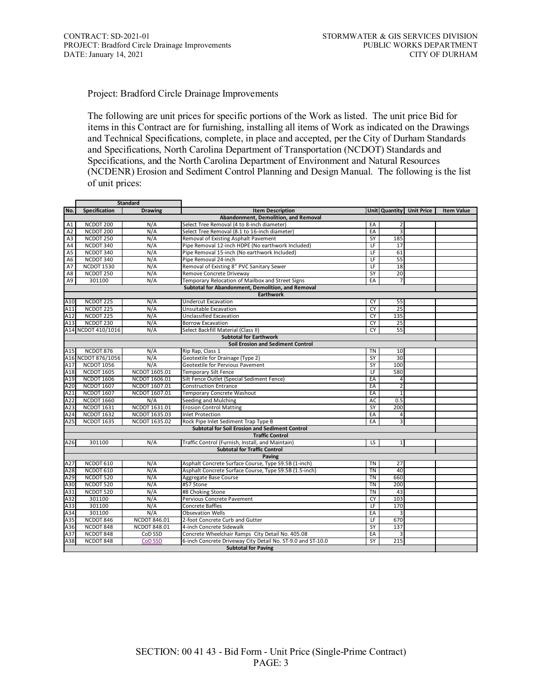Project: Bradford Circle Drainage Improvements

The following are unit prices for specific portions of the Work as listed. The unit price Bid for items in this Contract are for furnishing, installing all items of Work as indicated on the Drawings and Technical Specifications, complete, in place and accepted, per the City of Durham Standards and Specifications, North Carolina Department of Transportation (NCDOT) Standards and Specifications, and the North Carolina Department of Environment and Natural Resources (NCDENR) Erosion and Sediment Control Planning and Design Manual. The following is the list of unit prices:

|                                      | <b>Standard</b>      |                     |                                                             |                          |                 |                          |                   |  |  |
|--------------------------------------|----------------------|---------------------|-------------------------------------------------------------|--------------------------|-----------------|--------------------------|-------------------|--|--|
| No.                                  | Specification        | <b>Drawing</b>      | <b>Item Description</b>                                     |                          |                 | Unit Quantity Unit Price | <b>Item Value</b> |  |  |
| Abandonment, Demolition, and Removal |                      |                     |                                                             |                          |                 |                          |                   |  |  |
| A1                                   | NCDOT 200            | N/A                 | Select Tree Removal (4 to 8-inch diameter)                  | EA                       | $\overline{2}$  |                          |                   |  |  |
| A <sub>2</sub>                       | NCDOT <sub>200</sub> | N/A                 | Select Tree Removal (8.1 to 16-inch diameter)               | EA                       | 3               |                          |                   |  |  |
| A3                                   | NCDOT 250            | N/A                 | Removal of Existing Asphalt Pavement                        | <b>SY</b>                | 185             |                          |                   |  |  |
| A <sub>4</sub>                       | NCDOT 340            | N/A                 | Pipe Removal 12-inch HDPE (No earthwork Included)           | LF                       | 17              |                          |                   |  |  |
| A <sub>5</sub>                       | NCDOT 340            | N/A                 | Pipe Removal 15-inch (No earthwork Included)                | $\overline{\mathsf{LF}}$ | 61              |                          |                   |  |  |
| A <sub>6</sub>                       | NCDOT 340            | N/A                 | Pipe Removal 24-inch                                        | LF                       | 55              |                          |                   |  |  |
| A7                                   | <b>NCDOT 1530</b>    | N/A                 | Removal of Existing 8" PVC Sanitary Sewer                   | LF                       | 18              |                          |                   |  |  |
| A8                                   | NCDOT 250            | N/A                 | Remove Concrete Driveway                                    | SY                       | 20              |                          |                   |  |  |
| A9                                   | 301100               | N/A                 | Temporary Relocation of Mailbox and Street Signs            | EA                       | $\overline{7}$  |                          |                   |  |  |
|                                      |                      |                     | Subtotal for Abandonment, Demolition, and Removal           |                          |                 |                          |                   |  |  |
|                                      |                      |                     | <b>Earthwork</b>                                            |                          |                 |                          |                   |  |  |
| A10                                  | NCDOT 225            | N/A                 | <b>Undercut Excavation</b>                                  | CY                       | 55              |                          |                   |  |  |
| A11                                  | NCDOT <sub>225</sub> | N/A                 | <b>Unsuitable Excavation</b>                                | <b>CY</b>                | 25              |                          |                   |  |  |
| A12                                  | NCDOT 225            | N/A                 | Unclassified Excavation                                     | CY                       | 135             |                          |                   |  |  |
| A13                                  | NCDOT 230            | N/A                 | <b>Borrow Excavation</b>                                    | <b>CY</b>                | 25              |                          |                   |  |  |
|                                      | A14 NCDOT 410/1016   | N/A                 | Select Backfill Material (Class II)                         | <b>CY</b>                | 55              |                          |                   |  |  |
|                                      |                      |                     | <b>Subtotal for Earthwork</b>                               |                          |                 |                          |                   |  |  |
|                                      |                      |                     | <b>Soil Erosion and Sediment Control</b>                    |                          |                 |                          |                   |  |  |
| A15                                  | NCDOT 876            | N/A                 | Rip Rap, Class 1                                            | TN                       | 10              |                          |                   |  |  |
|                                      | A16 NCDOT 876/1056   | N/A                 | Geotextile for Drainage (Type 2)                            | SY                       | 30              |                          |                   |  |  |
| A17                                  | <b>NCDOT 1056</b>    | N/A                 | Geotextile for Pervious Pavement                            | SY                       | 100             |                          |                   |  |  |
| A18                                  | <b>NCDOT 1605</b>    | NCDOT 1605.01       | <b>Temporary Silt Fence</b>                                 | $\overline{\mathsf{LF}}$ | 580             |                          |                   |  |  |
| A19                                  | <b>NCDOT 1606</b>    | NCDOT 1606.01       | Silt Fence Outlet (Special Sediment Fence)                  | EA                       | 4               |                          |                   |  |  |
| A20                                  | <b>NCDOT 1607</b>    | NCDOT 1607.01       | <b>Construction Entrance</b>                                | EA                       | $\overline{2}$  |                          |                   |  |  |
| A21                                  | <b>NCDOT 1607</b>    | NCDOT 1607.01       | <b>Temporary Concrete Washout</b>                           | EA                       | $\mathbf{1}$    |                          |                   |  |  |
| A22                                  | <b>NCDOT 1660</b>    | N/A                 | Seeding and Mulching                                        | <b>AC</b>                | 0.5             |                          |                   |  |  |
| A23                                  | <b>NCDOT 1631</b>    | NCDOT 1631.01       | <b>Erosion Control Matting</b>                              | <b>SY</b>                | 200             |                          |                   |  |  |
| A24                                  | <b>NCDOT 1632</b>    | NCDOT 1635.03       | <b>Inlet Protection</b>                                     | EA                       | 4               |                          |                   |  |  |
| A25                                  | <b>NCDOT 1635</b>    | NCDOT 1635.02       | Rock Pipe Inlet Sediment Trap Type B                        | EA                       | 3               |                          |                   |  |  |
|                                      |                      |                     | <b>Subtotal for Soil Erosion and Sediment Control</b>       |                          |                 |                          |                   |  |  |
|                                      |                      |                     | <b>Traffic Control</b>                                      |                          |                 |                          |                   |  |  |
| A26                                  | 301100               | N/A                 | Traffic Control (Furnish, Install, and Maintain)            | LS.                      | $\mathbf{1}$    |                          |                   |  |  |
|                                      |                      |                     | <b>Subtotal for Traffic Control</b>                         |                          |                 |                          |                   |  |  |
|                                      |                      |                     | Paving                                                      |                          |                 |                          |                   |  |  |
| A27                                  | NCDOT 610            | N/A                 | Asphalt Concrete Surface Course, Type S9.5B (1-inch)        | <b>TN</b>                | $\overline{27}$ |                          |                   |  |  |
| A28                                  | NCDOT 610            | N/A                 | Asphalt Concrete Surface Course, Type S9.5B (1.5-inch)      | <b>TN</b>                | 40              |                          |                   |  |  |
| A29                                  | NCDOT 520            | N/A                 | Aggregate Base Course                                       | <b>TN</b>                | 660             |                          |                   |  |  |
| A30                                  | NCDOT 520            | N/A                 | #57 Stone                                                   | <b>TN</b>                | 200             |                          |                   |  |  |
| A31                                  | NCDOT 520            | N/A                 | #8 Choking Stone                                            | <b>TN</b>                | 43              |                          |                   |  |  |
| A32                                  | 301100               | N/A                 | Pervious Concrete Pavement                                  | <b>CY</b>                | 103             |                          |                   |  |  |
| A33                                  | 301100               | N/A                 | <b>Concrete Baffles</b>                                     | LF                       | 170             |                          |                   |  |  |
| A34                                  | 301100               | N/A                 | <b>Obsevation Wells</b>                                     | EA                       | 3               |                          |                   |  |  |
| A35                                  | NCDOT 846            | <b>NCDOT 846.01</b> | 2-foot Concrete Curb and Gutter                             | $\overline{\mathsf{LF}}$ | 670             |                          |                   |  |  |
| A36                                  | NCDOT 848            | <b>NCDOT 848.01</b> | 4-inch Concrete Sidewalk                                    | SY                       | 137             |                          |                   |  |  |
| A37                                  | NCDOT 848            | CoD SSD             | Concrete Wheelchair Ramps City Detail No. 405.08            | EA                       | 3               |                          |                   |  |  |
| A38                                  | NCDOT 848            | <b>CoD SSD</b>      | 6-inch Concrete Driveway City Detail No. ST-9.0 and ST-10.0 | SY                       | 215             |                          |                   |  |  |
|                                      |                      |                     |                                                             |                          |                 |                          |                   |  |  |
| <b>Subtotal for Paving</b>           |                      |                     |                                                             |                          |                 |                          |                   |  |  |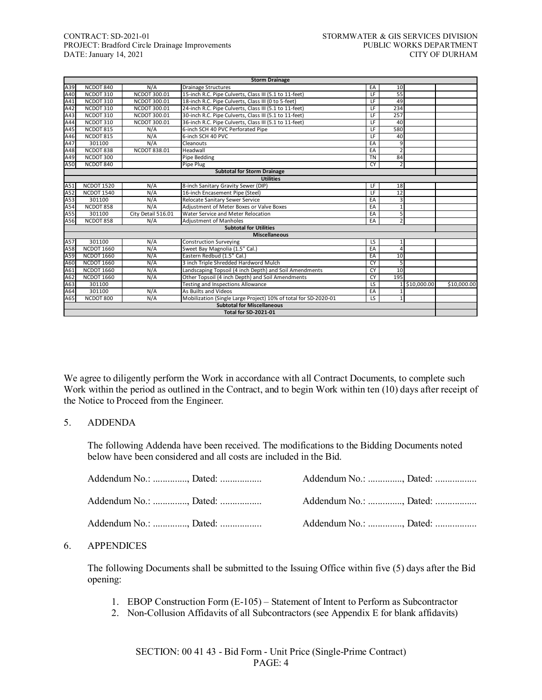#### CONTRACT: SD-2021-01<br>
PROJECT: Bradford Circle Drainage Improvements<br>
PUBLIC WORKS DEPARTMENT PROJECT: Bradford Circle Drainage Improvements PUBLIC WORKS DEPARTMENT<br>DATE: January 14, 2021 CITY OF DURHAM DATE: January 14, 2021

| <b>Storm Drainage</b> |                   |                     |                                                                 |                 |                 |             |             |  |
|-----------------------|-------------------|---------------------|-----------------------------------------------------------------|-----------------|-----------------|-------------|-------------|--|
| A39                   | NCDOT 840         | N/A                 | <b>Drainage Structures</b>                                      | EA              | 10              |             |             |  |
| A40                   | NCDOT 310         | NCDOT 300.01        | 15-inch R.C. Pipe Culverts, Class III (5.1 to 11-feet)          | $\overline{1}$  | $\overline{55}$ |             |             |  |
| A41                   | NCDOT 310         | NCDOT 300.01        | 18-inch R.C. Pipe Culverts, Class III (0 to 5-feet)             | $\overline{LF}$ | 49              |             |             |  |
| A42                   | NCDOT 310         | NCDOT 300.01        | 24-inch R.C. Pipe Culverts, Class III (5.1 to 11-feet)          | LF              | 234             |             |             |  |
| A43                   | NCDOT 310         | NCDOT 300.01        | 30-inch R.C. Pipe Culverts, Class III (5.1 to 11-feet)          | LF              | 257             |             |             |  |
| A44                   | NCDOT 310         | NCDOT 300.01        | 36-inch R.C. Pipe Culverts, Class III (5.1 to 11-feet)          | E               | 40              |             |             |  |
| A45                   | NCDOT 815         | N/A                 | 6-inch SCH 40 PVC Perforated Pipe                               | $\overline{F}$  | 580             |             |             |  |
| A46                   | NCDOT 815         | N/A                 | 6-inch SCH 40 PVC                                               | LF              | 40              |             |             |  |
| A47                   | 301100            | N/A                 | Cleanouts                                                       | EA              | 9               |             |             |  |
| A48                   | NCDOT 838         | <b>NCDOT 838.01</b> | Headwall                                                        | EA              | $\overline{2}$  |             |             |  |
| A49                   | NCDOT 300         |                     | Pipe Bedding                                                    | <b>TN</b>       | 84              |             |             |  |
| A50                   | NCDOT 840         |                     | Pipe Plug                                                       | <b>CY</b>       | 2               |             |             |  |
|                       |                   |                     | <b>Subtotal for Storm Drainage</b>                              |                 |                 |             |             |  |
|                       |                   |                     | <b>Utilities</b>                                                |                 |                 |             |             |  |
| A51                   | <b>NCDOT 1520</b> | N/A                 | 8-inch Sanitary Gravity Sewer (DIP)                             | $\overline{F}$  | 18              |             |             |  |
| A52                   | <b>NCDOT 1540</b> | N/A                 | 16-inch Encasement Pipe (Steel)                                 | LF              | 12              |             |             |  |
| A53                   | 301100            | N/A                 | Relocate Sanitary Sewer Service                                 | EA              | 3               |             |             |  |
| A54                   | NCDOT 858         | N/A                 | Adiustment of Meter Boxes or Valve Boxes                        | EA              | $\mathbf{1}$    |             |             |  |
| A55                   | 301100            | City Detail 516.01  | Water Service and Meter Relocation                              | EA              | 5               |             |             |  |
| A56                   | NCDOT 858         | N/A                 | <b>Adjustment of Manholes</b>                                   | EA              | $\overline{2}$  |             |             |  |
|                       |                   |                     | <b>Subtotal for Utilities</b>                                   |                 |                 |             |             |  |
|                       |                   |                     | <b>Miscellaneous</b>                                            |                 |                 |             |             |  |
| A57                   | 301100            | N/A                 | <b>Construction Surveying</b>                                   | LS              | $\mathbf{1}$    |             |             |  |
| A58                   | <b>NCDOT 1660</b> | N/A                 | Sweet Bay Magnolia (1.5" Cal.)                                  | EA              | 4               |             |             |  |
| A59                   | <b>NCDOT 1660</b> | N/A                 | Eastern Redbud (1.5" Cal.)                                      | EA              | 10              |             |             |  |
| A60                   | <b>NCDOT 1660</b> | N/A                 | 3 inch Triple Shredded Hardword Mulch                           | <b>CY</b>       | 5               |             |             |  |
| A61                   | <b>NCDOT 1660</b> | N/A                 | Landscaping Topsoil (4 inch Depth) and Soil Amendments          | CY              | 10              |             |             |  |
| A62                   | <b>NCDOT 1660</b> | N/A                 | Other Topsoil (4 inch Depth) and Soil Amendments                | CY              | 195             |             |             |  |
| A63                   | 301100            |                     | Testing and Inspections Allowance                               | $\overline{LS}$ |                 | \$10,000.00 | \$10,000.00 |  |
| A64                   | 301100            | N/A                 | As Builts and Videos                                            | EA              | $\mathbf{1}$    |             |             |  |
| A65                   | NCDOT 800         | N/A                 | Mobilization (Single Large Project) 10% of total for SD-2020-01 | LS              | $\mathbf{1}$    |             |             |  |
|                       |                   |                     | <b>Subtotal for Miscellaneous</b>                               |                 |                 |             |             |  |
|                       |                   |                     | <b>Total for SD-2021-01</b>                                     |                 |                 |             |             |  |

We agree to diligently perform the Work in accordance with all Contract Documents, to complete such Work within the period as outlined in the Contract, and to begin Work within ten (10) days after receipt of the Notice to Proceed from the Engineer.

#### 5. ADDENDA

The following Addenda have been received. The modifications to the Bidding Documents noted below have been considered and all costs are included in the Bid.

| Addendum No.: , Dated: | Addendum No.: , Dated: |  |
|------------------------|------------------------|--|
| Addendum No.: , Dated: | Addendum No.: , Dated: |  |
| Addendum No.: , Dated: | Addendum No.: , Dated: |  |

#### 6. APPENDICES

The following Documents shall be submitted to the Issuing Office within five (5) days after the Bid opening:

- 1. EBOP Construction Form (E-105) Statement of Intent to Perform as Subcontractor
- 2. Non-Collusion Affidavits of all Subcontractors (see Appendix E for blank affidavits)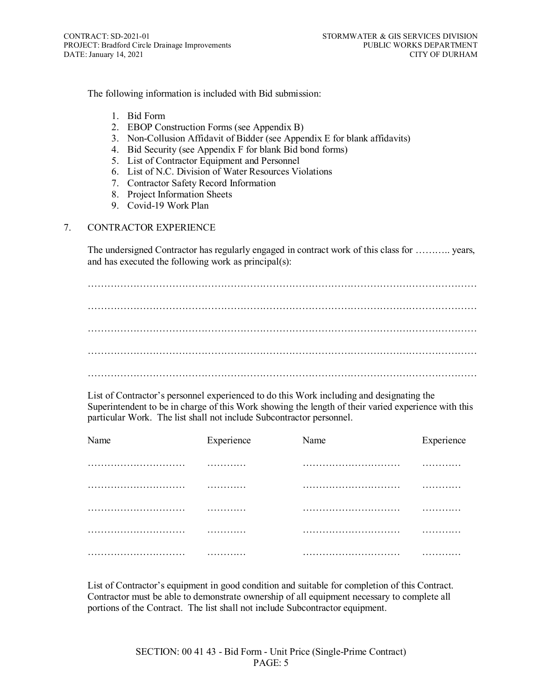The following information is included with Bid submission:

- 1. Bid Form
- 2. EBOP Construction Forms (see Appendix B)
- 3. Non-Collusion Affidavit of Bidder (see Appendix E for blank affidavits)
- 4. Bid Security (see Appendix F for blank Bid bond forms)
- 5. List of Contractor Equipment and Personnel
- 6. List of N.C. Division of Water Resources Violations
- 7. Contractor Safety Record Information
- 8. Project Information Sheets
- 9. Covid-19 Work Plan

# 7. CONTRACTOR EXPERIENCE

The undersigned Contractor has regularly engaged in contract work of this class for ……….. years, and has executed the following work as principal(s):

………………………………………………………………………………………………………… ………………………………………………………………………………………………………… ………………………………………………………………………………………………………… ………………………………………………………………………………………………………… …………………………………………………………………………………………………………

List of Contractor's personnel experienced to do this Work including and designating the Superintendent to be in charge of this Work showing the length of their varied experience with this particular Work. The list shall not include Subcontractor personnel.

| Name | Experience | Name | Experience |
|------|------------|------|------------|
|      | .          |      | .          |
|      | .          |      | .          |
|      | .          |      | .          |
|      | .          |      | .          |
|      | .          |      | .          |

List of Contractor's equipment in good condition and suitable for completion of this Contract. Contractor must be able to demonstrate ownership of all equipment necessary to complete all portions of the Contract. The list shall not include Subcontractor equipment.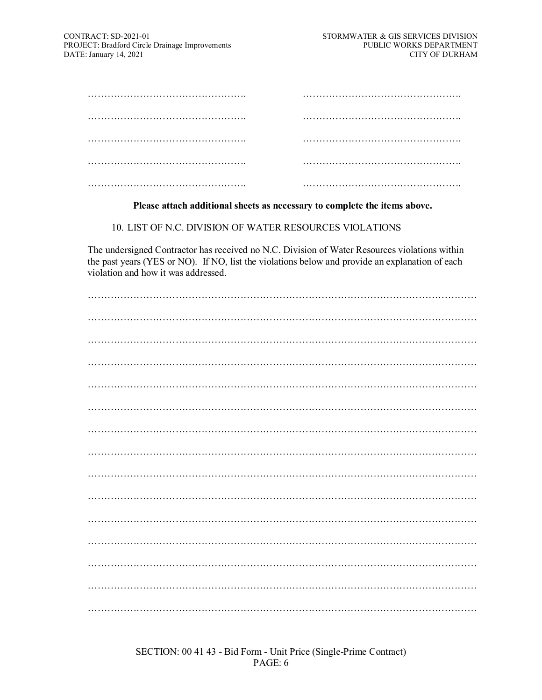#### **Please attach additional sheets as necessary to complete the items above.**

10. LIST OF N.C. DIVISION OF WATER RESOURCES VIOLATIONS

The undersigned Contractor has received no N.C. Division of Water Resources violations within the past years (YES or NO). If NO, list the violations below and provide an explanation of each violation and how it was addressed.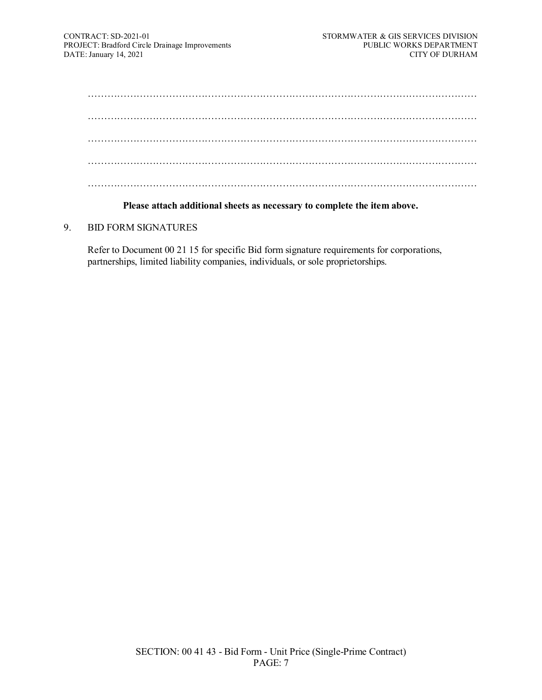#### **Please attach additional sheets as necessary to complete the item above.**

#### 9. BID FORM SIGNATURES

Refer to Document 00 21 15 for specific Bid form signature requirements for corporations, partnerships, limited liability companies, individuals, or sole proprietorships.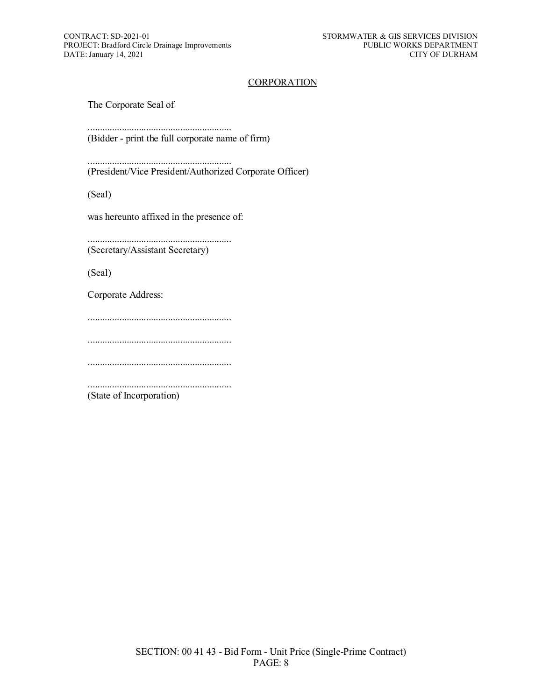#### **CORPORATION**

The Corporate Seal of

........................................................... (Bidder - print the full corporate name of firm)

........................................................... (President/Vice President/Authorized Corporate Officer)

(Seal)

was hereunto affixed in the presence of:

........................................................... (Secretary/Assistant Secretary)

(Seal)

Corporate Address:

...........................................................

...........................................................

...........................................................

........................................................... (State of Incorporation)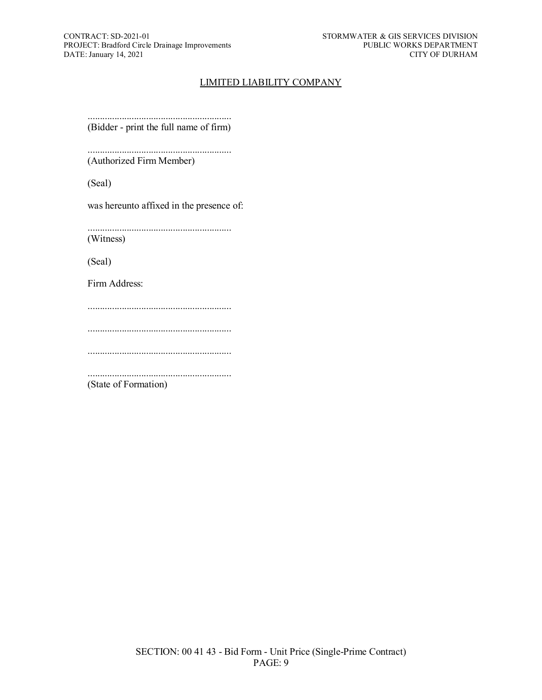# LIMITED LIABILITY COMPANY

........................................................... (Bidder - print the full name of firm)

........................................................... (Authorized Firm Member)

(Seal)

was hereunto affixed in the presence of:

........................................................... (Witness)

(Seal)

Firm Address:

...........................................................

...........................................................

...........................................................

...........................................................

(State of Formation)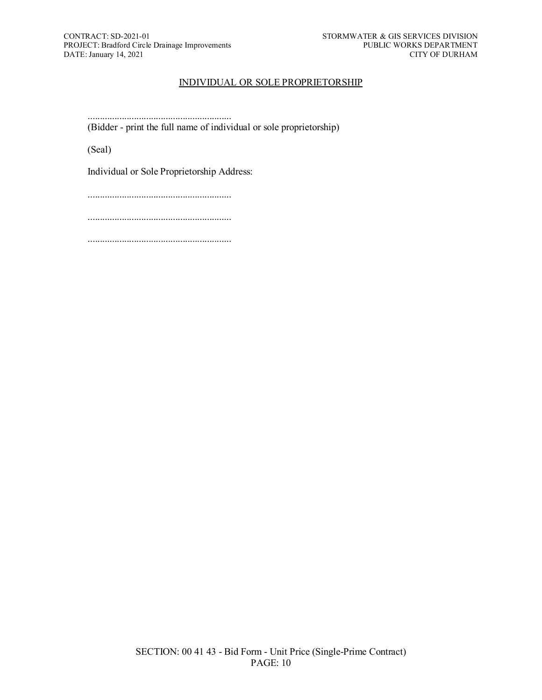# INDIVIDUAL OR SOLE PROPRIETORSHIP

........................................................... (Bidder - print the full name of individual or sole proprietorship)

(Seal)

Individual or Sole Proprietorship Address:

...........................................................

...........................................................

...........................................................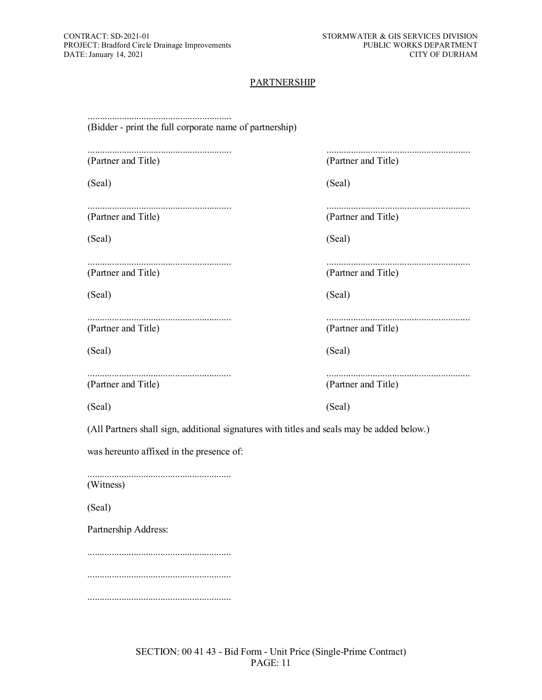# **PARTNERSHIP**

| (Bidder - print the full corporate name of partnership)                                    |                     |  |  |  |  |  |  |
|--------------------------------------------------------------------------------------------|---------------------|--|--|--|--|--|--|
| (Partner and Title)                                                                        | (Partner and Title) |  |  |  |  |  |  |
| (Seal)                                                                                     | (Seal)              |  |  |  |  |  |  |
| (Partner and Title)                                                                        | (Partner and Title) |  |  |  |  |  |  |
| (Seal)                                                                                     | (Seal)              |  |  |  |  |  |  |
| (Partner and Title)                                                                        | (Partner and Title) |  |  |  |  |  |  |
| (Seal)                                                                                     | (Seal)              |  |  |  |  |  |  |
| (Partner and Title)                                                                        | (Partner and Title) |  |  |  |  |  |  |
| (Seal)                                                                                     | (Seal)              |  |  |  |  |  |  |
| (Partner and Title)                                                                        | (Partner and Title) |  |  |  |  |  |  |
| (Seal)                                                                                     | (Seal)              |  |  |  |  |  |  |
| (All Partners shall sign, additional signatures with titles and seals may be added below.) |                     |  |  |  |  |  |  |
| was hereunto affixed in the presence of:                                                   |                     |  |  |  |  |  |  |
| (Witness)                                                                                  |                     |  |  |  |  |  |  |
| (Seal)                                                                                     |                     |  |  |  |  |  |  |
| Partnership Address:                                                                       |                     |  |  |  |  |  |  |
|                                                                                            |                     |  |  |  |  |  |  |
|                                                                                            |                     |  |  |  |  |  |  |
|                                                                                            |                     |  |  |  |  |  |  |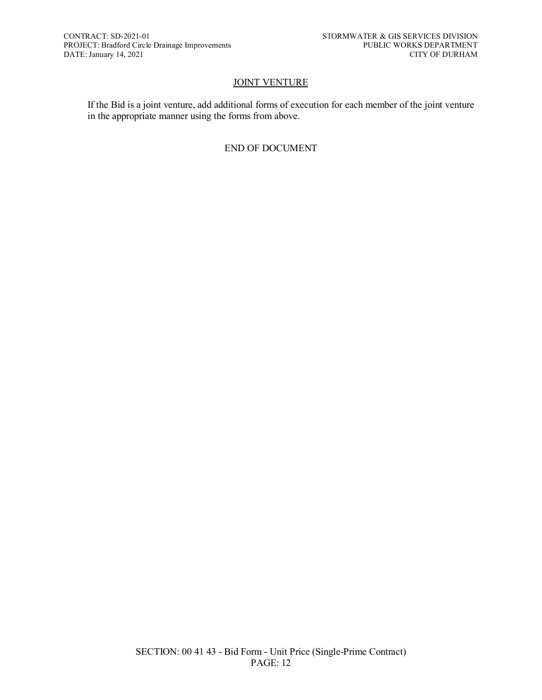# **JOINT VENTURE**

If the Bid is a joint venture, add additional forms of execution for each member of the joint venture in the appropriate manner using the forms from above.

# END OF DOCUMENT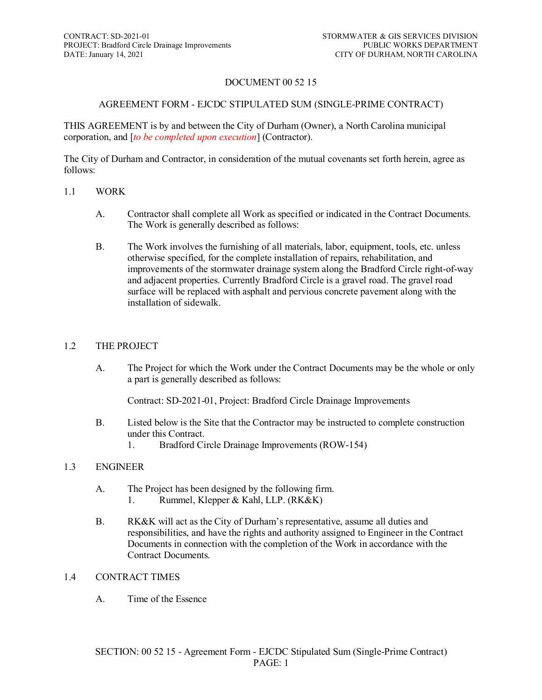# DOCUMENT 00 52 15

# AGREEMENT FORM - EJCDC STIPULATED SUM (SINGLE-PRIME CONTRACT)

THIS AGREEMENT is by and between the City of Durham (Owner), a North Carolina municipal corporation, and [*to be completed upon execution*] (Contractor).

The City of Durham and Contractor, in consideration of the mutual covenants set forth herein, agree as follows:

#### 1.1 WORK

- A. Contractor shall complete all Work as specified or indicated in the Contract Documents. The Work is generally described as follows:
- B. The Work involves the furnishing of all materials, labor, equipment, tools, etc. unless otherwise specified, for the complete installation of repairs, rehabilitation, and improvements of the stormwater drainage system along the Bradford Circle right-of-way and adjacent properties. Currently Bradford Circle is a gravel road. The gravel road surface will be replaced with asphalt and pervious concrete pavement along with the installation of sidewalk.

#### 1.2 THE PROJECT

A. The Project for which the Work under the Contract Documents may be the whole or only a part is generally described as follows:

Contract: SD-2021-01, Project: Bradford Circle Drainage Improvements

- B. Listed below is the Site that the Contractor may be instructed to complete construction under this Contract.
	- 1. Bradford Circle Drainage Improvements (ROW-154)

#### 1.3 ENGINEER

- A. The Project has been designed by the following firm.
	- 1. Rummel, Klepper & Kahl, LLP. (RK&K)
- B. RK&K will act as the City of Durham's representative, assume all duties and responsibilities, and have the rights and authority assigned to Engineer in the Contract Documents in connection with the completion of the Work in accordance with the Contract Documents.

#### 1.4 CONTRACT TIMES

A. Time of the Essence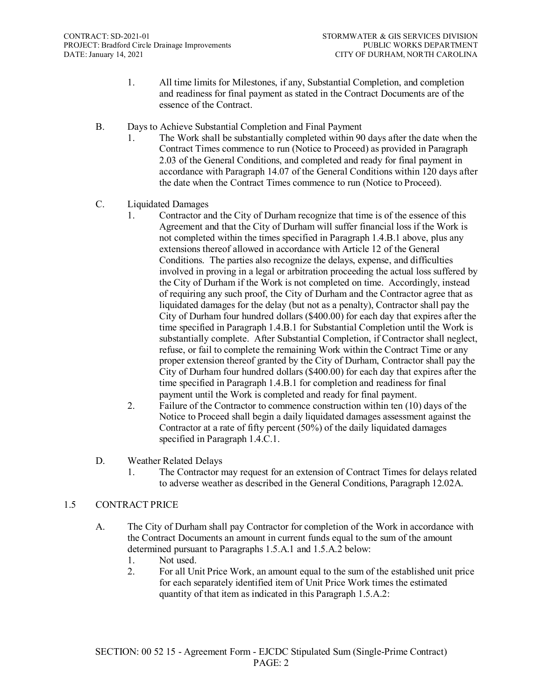- 1. All time limits for Milestones, if any, Substantial Completion, and completion and readiness for final payment as stated in the Contract Documents are of the essence of the Contract.
- B. Days to Achieve Substantial Completion and Final Payment
	- 1. The Work shall be substantially completed within 90 days after the date when the Contract Times commence to run (Notice to Proceed) as provided in Paragraph 2.03 of the General Conditions, and completed and ready for final payment in accordance with Paragraph 14.07 of the General Conditions within 120 days after the date when the Contract Times commence to run (Notice to Proceed).
- C. Liquidated Damages
	- 1. Contractor and the City of Durham recognize that time is of the essence of this Agreement and that the City of Durham will suffer financial loss if the Work is not completed within the times specified in Paragraph 1.4.B.1 above, plus any extensions thereof allowed in accordance with Article 12 of the General Conditions. The parties also recognize the delays, expense, and difficulties involved in proving in a legal or arbitration proceeding the actual loss suffered by the City of Durham if the Work is not completed on time. Accordingly, instead of requiring any such proof, the City of Durham and the Contractor agree that as liquidated damages for the delay (but not as a penalty), Contractor shall pay the City of Durham four hundred dollars (\$400.00) for each day that expires after the time specified in Paragraph 1.4.B.1 for Substantial Completion until the Work is substantially complete. After Substantial Completion, if Contractor shall neglect, refuse, or fail to complete the remaining Work within the Contract Time or any proper extension thereof granted by the City of Durham, Contractor shall pay the City of Durham four hundred dollars (\$400.00) for each day that expires after the time specified in Paragraph 1.4.B.1 for completion and readiness for final payment until the Work is completed and ready for final payment.
	- 2. Failure of the Contractor to commence construction within ten (10) days of the Notice to Proceed shall begin a daily liquidated damages assessment against the Contractor at a rate of fifty percent (50%) of the daily liquidated damages specified in Paragraph 1.4.C.1.
- D. Weather Related Delays
	- 1. The Contractor may request for an extension of Contract Times for delays related to adverse weather as described in the General Conditions, Paragraph 12.02A.

# 1.5 CONTRACT PRICE

- A. The City of Durham shall pay Contractor for completion of the Work in accordance with the Contract Documents an amount in current funds equal to the sum of the amount determined pursuant to Paragraphs 1.5.A.1 and 1.5.A.2 below:
	- 1. Not used.
	- 2. For all Unit Price Work, an amount equal to the sum of the established unit price for each separately identified item of Unit Price Work times the estimated quantity of that item as indicated in this Paragraph 1.5.A.2: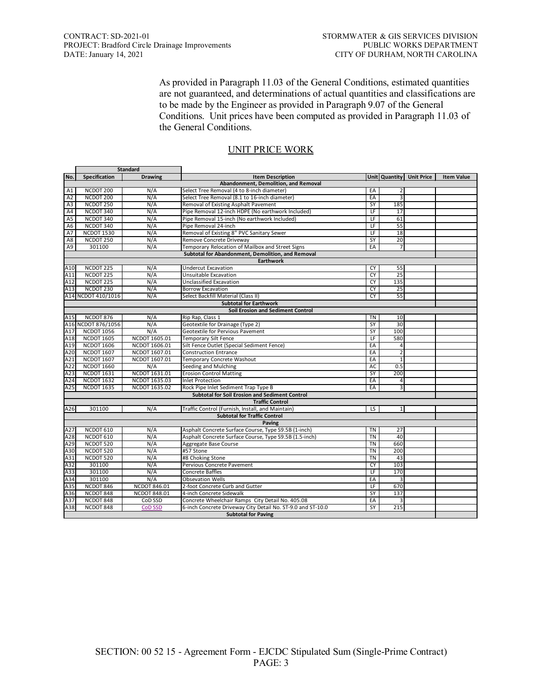As provided in Paragraph 11.03 of the General Conditions, estimated quantities are not guaranteed, and determinations of actual quantities and classifications are to be made by the Engineer as provided in Paragraph 9.07 of the General Conditions. Unit prices have been computed as provided in Paragraph 11.03 of the General Conditions.

| Unit Quantity Unit Price<br>No.<br>Specification<br><b>Drawing</b><br><b>Item Description</b><br>Abandonment, Demolition, and Removal<br>NCDOT 200<br>N/A<br>Select Tree Removal (4 to 8-inch diameter)<br>A1<br>EA<br>2<br>NCDOT 200<br>N/A<br>3<br>A2<br>Select Tree Removal (8.1 to 16-inch diameter)<br>EA<br>NCDOT 250<br>N/A<br><b>SY</b><br>185<br>A3<br>Removal of Existing Asphalt Pavement<br>NCDOT 340<br>N/A<br>Pipe Removal 12-inch HDPE (No earthwork Included)<br>E<br>A4<br>17<br>NCDOT 340<br>Pipe Removal 15-inch (No earthwork Included)<br>LF<br>61<br>A <sub>5</sub><br>N/A<br>NCDOT 340<br>N/A<br>LF<br>55<br>A6<br>Pipe Removal 24-inch<br>N/A<br>Removal of Existing 8" PVC Sanitary Sewer<br>LF<br>18<br>A7<br><b>NCDOT 1530</b><br>20<br>NCDOT 250<br>N/A<br>SY<br>A8<br>Remove Concrete Driveway<br>Temporary Relocation of Mailbox and Street Signs<br>A9<br>301100<br>N/A<br>EA<br>7<br>Subtotal for Abandonment, Demolition, and Removal<br><b>Earthwork</b><br>A10<br>NCDOT 225<br>N/A<br><b>Undercut Excavation</b><br>CY<br>55<br>$\overline{25}$<br>NCDOT <sub>225</sub><br>N/A<br><b>CY</b><br>A11<br>Unsuitable Excavation<br>NCDOT <sub>225</sub><br>N/A<br><b>CY</b><br>135<br>A12<br>Unclassified Excavation<br>NCDOT 230<br>N/A<br>25<br>A13<br><b>Borrow Excavation</b><br>CY<br>A14 NCDOT 410/1016<br>55<br>N/A<br>Select Backfill Material (Class II)<br>CY<br><b>Subtotal for Earthwork</b><br><b>Soil Erosion and Sediment Control</b><br>NCDOT 876<br>10<br>A15<br>N/A<br>Rip Rap, Class 1<br>TN<br>A16 NCDOT 876/1056<br>30<br>N/A<br>Geotextile for Drainage (Type 2)<br>SY<br>A17<br><b>NCDOT 1056</b><br>N/A<br>SY<br>100<br>Geotextile for Pervious Pavement<br><b>NCDOT 1605</b><br>NCDOT 1605.01<br><b>Temporary Silt Fence</b><br>LF<br>580<br>A18<br>A19<br><b>NCDOT 1606</b><br>NCDOT 1606.01<br>Silt Fence Outlet (Special Sediment Fence)<br>EA<br>4<br><b>NCDOT 1607</b><br>EA<br>$\overline{2}$<br>A20<br>NCDOT 1607.01<br><b>Construction Entrance</b><br><b>NCDOT 1607</b><br>NCDOT 1607.01<br>A21<br>Temporary Concrete Washout<br>EA<br>$\mathbf{1}$<br><b>NCDOT 1660</b><br><b>AC</b><br>A22<br>N/A<br>Seeding and Mulching<br>0.5<br><b>NCDOT 1631</b><br>NCDOT 1631.01<br><b>SY</b><br>200<br>A23<br><b>Erosion Control Matting</b><br>A24<br><b>NCDOT 1632</b><br>NCDOT 1635.03<br>EA<br><b>Inlet Protection</b><br>4<br>A25<br><b>NCDOT 1635</b><br>NCDOT 1635.02<br>Rock Pipe Inlet Sediment Trap Type B<br>EA<br>3<br><b>Subtotal for Soil Erosion and Sediment Control</b><br><b>Traffic Control</b><br>A26<br>301100<br>N/A<br>Traffic Control (Furnish, Install, and Maintain)<br>LS<br>$\mathbf{1}$<br><b>Subtotal for Traffic Control</b><br>Paving<br>NCDOT 610<br>Asphalt Concrete Surface Course, Type S9.5B (1-inch)<br>A27<br>N/A<br><b>TN</b><br>27<br>$\overline{T}N$<br>40<br>A28<br>NCDOT 610<br>N/A<br>Asphalt Concrete Surface Course, Type S9.5B (1.5-inch)<br><b>TN</b><br>A29<br>NCDOT 520<br>N/A<br>660<br>Aggregate Base Course<br>A30<br>NCDOT 520<br><b>TN</b><br>N/A<br>#57 Stone<br>200<br>A31<br><b>TN</b><br>NCDOT 520<br>N/A<br>#8 Choking Stone<br>43<br>A32<br>N/A<br>Pervious Concrete Pavement<br>CY<br>103<br>301100<br>A33<br>Concrete Baffles<br>LF<br>170<br>301100<br>N/A<br>A34<br>301100<br>N/A<br>EA<br>3<br><b>Obsevation Wells</b><br>A35<br>NCDOT 846.01<br>2-foot Concrete Curb and Gutter<br>LF<br>670<br>NCDOT 846<br>A36<br><b>NCDOT 848.01</b><br>SY<br>NCDOT 848<br>4-inch Concrete Sidewalk<br>137 |     | <b>Standard</b> |         |                                                  |    |   |  |                   |  |  |
|-----------------------------------------------------------------------------------------------------------------------------------------------------------------------------------------------------------------------------------------------------------------------------------------------------------------------------------------------------------------------------------------------------------------------------------------------------------------------------------------------------------------------------------------------------------------------------------------------------------------------------------------------------------------------------------------------------------------------------------------------------------------------------------------------------------------------------------------------------------------------------------------------------------------------------------------------------------------------------------------------------------------------------------------------------------------------------------------------------------------------------------------------------------------------------------------------------------------------------------------------------------------------------------------------------------------------------------------------------------------------------------------------------------------------------------------------------------------------------------------------------------------------------------------------------------------------------------------------------------------------------------------------------------------------------------------------------------------------------------------------------------------------------------------------------------------------------------------------------------------------------------------------------------------------------------------------------------------------------------------------------------------------------------------------------------------------------------------------------------------------------------------------------------------------------------------------------------------------------------------------------------------------------------------------------------------------------------------------------------------------------------------------------------------------------------------------------------------------------------------------------------------------------------------------------------------------------------------------------------------------------------------------------------------------------------------------------------------------------------------------------------------------------------------------------------------------------------------------------------------------------------------------------------------------------------------------------------------------------------------------------------------------------------------------------------------------------------------------------------------------------------------------------------------------------------------------------------------------------------------------------------------------------------------------------------------------------------------------------------------------------------------------------------------------------------------------------------------------------------------------------------------------------|-----|-----------------|---------|--------------------------------------------------|----|---|--|-------------------|--|--|
|                                                                                                                                                                                                                                                                                                                                                                                                                                                                                                                                                                                                                                                                                                                                                                                                                                                                                                                                                                                                                                                                                                                                                                                                                                                                                                                                                                                                                                                                                                                                                                                                                                                                                                                                                                                                                                                                                                                                                                                                                                                                                                                                                                                                                                                                                                                                                                                                                                                                                                                                                                                                                                                                                                                                                                                                                                                                                                                                                                                                                                                                                                                                                                                                                                                                                                                                                                                                                                                                                                                             |     |                 |         |                                                  |    |   |  | <b>Item Value</b> |  |  |
|                                                                                                                                                                                                                                                                                                                                                                                                                                                                                                                                                                                                                                                                                                                                                                                                                                                                                                                                                                                                                                                                                                                                                                                                                                                                                                                                                                                                                                                                                                                                                                                                                                                                                                                                                                                                                                                                                                                                                                                                                                                                                                                                                                                                                                                                                                                                                                                                                                                                                                                                                                                                                                                                                                                                                                                                                                                                                                                                                                                                                                                                                                                                                                                                                                                                                                                                                                                                                                                                                                                             |     |                 |         |                                                  |    |   |  |                   |  |  |
|                                                                                                                                                                                                                                                                                                                                                                                                                                                                                                                                                                                                                                                                                                                                                                                                                                                                                                                                                                                                                                                                                                                                                                                                                                                                                                                                                                                                                                                                                                                                                                                                                                                                                                                                                                                                                                                                                                                                                                                                                                                                                                                                                                                                                                                                                                                                                                                                                                                                                                                                                                                                                                                                                                                                                                                                                                                                                                                                                                                                                                                                                                                                                                                                                                                                                                                                                                                                                                                                                                                             |     |                 |         |                                                  |    |   |  |                   |  |  |
|                                                                                                                                                                                                                                                                                                                                                                                                                                                                                                                                                                                                                                                                                                                                                                                                                                                                                                                                                                                                                                                                                                                                                                                                                                                                                                                                                                                                                                                                                                                                                                                                                                                                                                                                                                                                                                                                                                                                                                                                                                                                                                                                                                                                                                                                                                                                                                                                                                                                                                                                                                                                                                                                                                                                                                                                                                                                                                                                                                                                                                                                                                                                                                                                                                                                                                                                                                                                                                                                                                                             |     |                 |         |                                                  |    |   |  |                   |  |  |
|                                                                                                                                                                                                                                                                                                                                                                                                                                                                                                                                                                                                                                                                                                                                                                                                                                                                                                                                                                                                                                                                                                                                                                                                                                                                                                                                                                                                                                                                                                                                                                                                                                                                                                                                                                                                                                                                                                                                                                                                                                                                                                                                                                                                                                                                                                                                                                                                                                                                                                                                                                                                                                                                                                                                                                                                                                                                                                                                                                                                                                                                                                                                                                                                                                                                                                                                                                                                                                                                                                                             |     |                 |         |                                                  |    |   |  |                   |  |  |
|                                                                                                                                                                                                                                                                                                                                                                                                                                                                                                                                                                                                                                                                                                                                                                                                                                                                                                                                                                                                                                                                                                                                                                                                                                                                                                                                                                                                                                                                                                                                                                                                                                                                                                                                                                                                                                                                                                                                                                                                                                                                                                                                                                                                                                                                                                                                                                                                                                                                                                                                                                                                                                                                                                                                                                                                                                                                                                                                                                                                                                                                                                                                                                                                                                                                                                                                                                                                                                                                                                                             |     |                 |         |                                                  |    |   |  |                   |  |  |
|                                                                                                                                                                                                                                                                                                                                                                                                                                                                                                                                                                                                                                                                                                                                                                                                                                                                                                                                                                                                                                                                                                                                                                                                                                                                                                                                                                                                                                                                                                                                                                                                                                                                                                                                                                                                                                                                                                                                                                                                                                                                                                                                                                                                                                                                                                                                                                                                                                                                                                                                                                                                                                                                                                                                                                                                                                                                                                                                                                                                                                                                                                                                                                                                                                                                                                                                                                                                                                                                                                                             |     |                 |         |                                                  |    |   |  |                   |  |  |
|                                                                                                                                                                                                                                                                                                                                                                                                                                                                                                                                                                                                                                                                                                                                                                                                                                                                                                                                                                                                                                                                                                                                                                                                                                                                                                                                                                                                                                                                                                                                                                                                                                                                                                                                                                                                                                                                                                                                                                                                                                                                                                                                                                                                                                                                                                                                                                                                                                                                                                                                                                                                                                                                                                                                                                                                                                                                                                                                                                                                                                                                                                                                                                                                                                                                                                                                                                                                                                                                                                                             |     |                 |         |                                                  |    |   |  |                   |  |  |
|                                                                                                                                                                                                                                                                                                                                                                                                                                                                                                                                                                                                                                                                                                                                                                                                                                                                                                                                                                                                                                                                                                                                                                                                                                                                                                                                                                                                                                                                                                                                                                                                                                                                                                                                                                                                                                                                                                                                                                                                                                                                                                                                                                                                                                                                                                                                                                                                                                                                                                                                                                                                                                                                                                                                                                                                                                                                                                                                                                                                                                                                                                                                                                                                                                                                                                                                                                                                                                                                                                                             |     |                 |         |                                                  |    |   |  |                   |  |  |
|                                                                                                                                                                                                                                                                                                                                                                                                                                                                                                                                                                                                                                                                                                                                                                                                                                                                                                                                                                                                                                                                                                                                                                                                                                                                                                                                                                                                                                                                                                                                                                                                                                                                                                                                                                                                                                                                                                                                                                                                                                                                                                                                                                                                                                                                                                                                                                                                                                                                                                                                                                                                                                                                                                                                                                                                                                                                                                                                                                                                                                                                                                                                                                                                                                                                                                                                                                                                                                                                                                                             |     |                 |         |                                                  |    |   |  |                   |  |  |
|                                                                                                                                                                                                                                                                                                                                                                                                                                                                                                                                                                                                                                                                                                                                                                                                                                                                                                                                                                                                                                                                                                                                                                                                                                                                                                                                                                                                                                                                                                                                                                                                                                                                                                                                                                                                                                                                                                                                                                                                                                                                                                                                                                                                                                                                                                                                                                                                                                                                                                                                                                                                                                                                                                                                                                                                                                                                                                                                                                                                                                                                                                                                                                                                                                                                                                                                                                                                                                                                                                                             |     |                 |         |                                                  |    |   |  |                   |  |  |
|                                                                                                                                                                                                                                                                                                                                                                                                                                                                                                                                                                                                                                                                                                                                                                                                                                                                                                                                                                                                                                                                                                                                                                                                                                                                                                                                                                                                                                                                                                                                                                                                                                                                                                                                                                                                                                                                                                                                                                                                                                                                                                                                                                                                                                                                                                                                                                                                                                                                                                                                                                                                                                                                                                                                                                                                                                                                                                                                                                                                                                                                                                                                                                                                                                                                                                                                                                                                                                                                                                                             |     |                 |         |                                                  |    |   |  |                   |  |  |
|                                                                                                                                                                                                                                                                                                                                                                                                                                                                                                                                                                                                                                                                                                                                                                                                                                                                                                                                                                                                                                                                                                                                                                                                                                                                                                                                                                                                                                                                                                                                                                                                                                                                                                                                                                                                                                                                                                                                                                                                                                                                                                                                                                                                                                                                                                                                                                                                                                                                                                                                                                                                                                                                                                                                                                                                                                                                                                                                                                                                                                                                                                                                                                                                                                                                                                                                                                                                                                                                                                                             |     |                 |         |                                                  |    |   |  |                   |  |  |
|                                                                                                                                                                                                                                                                                                                                                                                                                                                                                                                                                                                                                                                                                                                                                                                                                                                                                                                                                                                                                                                                                                                                                                                                                                                                                                                                                                                                                                                                                                                                                                                                                                                                                                                                                                                                                                                                                                                                                                                                                                                                                                                                                                                                                                                                                                                                                                                                                                                                                                                                                                                                                                                                                                                                                                                                                                                                                                                                                                                                                                                                                                                                                                                                                                                                                                                                                                                                                                                                                                                             |     |                 |         |                                                  |    |   |  |                   |  |  |
|                                                                                                                                                                                                                                                                                                                                                                                                                                                                                                                                                                                                                                                                                                                                                                                                                                                                                                                                                                                                                                                                                                                                                                                                                                                                                                                                                                                                                                                                                                                                                                                                                                                                                                                                                                                                                                                                                                                                                                                                                                                                                                                                                                                                                                                                                                                                                                                                                                                                                                                                                                                                                                                                                                                                                                                                                                                                                                                                                                                                                                                                                                                                                                                                                                                                                                                                                                                                                                                                                                                             |     |                 |         |                                                  |    |   |  |                   |  |  |
|                                                                                                                                                                                                                                                                                                                                                                                                                                                                                                                                                                                                                                                                                                                                                                                                                                                                                                                                                                                                                                                                                                                                                                                                                                                                                                                                                                                                                                                                                                                                                                                                                                                                                                                                                                                                                                                                                                                                                                                                                                                                                                                                                                                                                                                                                                                                                                                                                                                                                                                                                                                                                                                                                                                                                                                                                                                                                                                                                                                                                                                                                                                                                                                                                                                                                                                                                                                                                                                                                                                             |     |                 |         |                                                  |    |   |  |                   |  |  |
|                                                                                                                                                                                                                                                                                                                                                                                                                                                                                                                                                                                                                                                                                                                                                                                                                                                                                                                                                                                                                                                                                                                                                                                                                                                                                                                                                                                                                                                                                                                                                                                                                                                                                                                                                                                                                                                                                                                                                                                                                                                                                                                                                                                                                                                                                                                                                                                                                                                                                                                                                                                                                                                                                                                                                                                                                                                                                                                                                                                                                                                                                                                                                                                                                                                                                                                                                                                                                                                                                                                             |     |                 |         |                                                  |    |   |  |                   |  |  |
|                                                                                                                                                                                                                                                                                                                                                                                                                                                                                                                                                                                                                                                                                                                                                                                                                                                                                                                                                                                                                                                                                                                                                                                                                                                                                                                                                                                                                                                                                                                                                                                                                                                                                                                                                                                                                                                                                                                                                                                                                                                                                                                                                                                                                                                                                                                                                                                                                                                                                                                                                                                                                                                                                                                                                                                                                                                                                                                                                                                                                                                                                                                                                                                                                                                                                                                                                                                                                                                                                                                             |     |                 |         |                                                  |    |   |  |                   |  |  |
|                                                                                                                                                                                                                                                                                                                                                                                                                                                                                                                                                                                                                                                                                                                                                                                                                                                                                                                                                                                                                                                                                                                                                                                                                                                                                                                                                                                                                                                                                                                                                                                                                                                                                                                                                                                                                                                                                                                                                                                                                                                                                                                                                                                                                                                                                                                                                                                                                                                                                                                                                                                                                                                                                                                                                                                                                                                                                                                                                                                                                                                                                                                                                                                                                                                                                                                                                                                                                                                                                                                             |     |                 |         |                                                  |    |   |  |                   |  |  |
|                                                                                                                                                                                                                                                                                                                                                                                                                                                                                                                                                                                                                                                                                                                                                                                                                                                                                                                                                                                                                                                                                                                                                                                                                                                                                                                                                                                                                                                                                                                                                                                                                                                                                                                                                                                                                                                                                                                                                                                                                                                                                                                                                                                                                                                                                                                                                                                                                                                                                                                                                                                                                                                                                                                                                                                                                                                                                                                                                                                                                                                                                                                                                                                                                                                                                                                                                                                                                                                                                                                             |     |                 |         |                                                  |    |   |  |                   |  |  |
|                                                                                                                                                                                                                                                                                                                                                                                                                                                                                                                                                                                                                                                                                                                                                                                                                                                                                                                                                                                                                                                                                                                                                                                                                                                                                                                                                                                                                                                                                                                                                                                                                                                                                                                                                                                                                                                                                                                                                                                                                                                                                                                                                                                                                                                                                                                                                                                                                                                                                                                                                                                                                                                                                                                                                                                                                                                                                                                                                                                                                                                                                                                                                                                                                                                                                                                                                                                                                                                                                                                             |     |                 |         |                                                  |    |   |  |                   |  |  |
|                                                                                                                                                                                                                                                                                                                                                                                                                                                                                                                                                                                                                                                                                                                                                                                                                                                                                                                                                                                                                                                                                                                                                                                                                                                                                                                                                                                                                                                                                                                                                                                                                                                                                                                                                                                                                                                                                                                                                                                                                                                                                                                                                                                                                                                                                                                                                                                                                                                                                                                                                                                                                                                                                                                                                                                                                                                                                                                                                                                                                                                                                                                                                                                                                                                                                                                                                                                                                                                                                                                             |     |                 |         |                                                  |    |   |  |                   |  |  |
|                                                                                                                                                                                                                                                                                                                                                                                                                                                                                                                                                                                                                                                                                                                                                                                                                                                                                                                                                                                                                                                                                                                                                                                                                                                                                                                                                                                                                                                                                                                                                                                                                                                                                                                                                                                                                                                                                                                                                                                                                                                                                                                                                                                                                                                                                                                                                                                                                                                                                                                                                                                                                                                                                                                                                                                                                                                                                                                                                                                                                                                                                                                                                                                                                                                                                                                                                                                                                                                                                                                             |     |                 |         |                                                  |    |   |  |                   |  |  |
|                                                                                                                                                                                                                                                                                                                                                                                                                                                                                                                                                                                                                                                                                                                                                                                                                                                                                                                                                                                                                                                                                                                                                                                                                                                                                                                                                                                                                                                                                                                                                                                                                                                                                                                                                                                                                                                                                                                                                                                                                                                                                                                                                                                                                                                                                                                                                                                                                                                                                                                                                                                                                                                                                                                                                                                                                                                                                                                                                                                                                                                                                                                                                                                                                                                                                                                                                                                                                                                                                                                             |     |                 |         |                                                  |    |   |  |                   |  |  |
|                                                                                                                                                                                                                                                                                                                                                                                                                                                                                                                                                                                                                                                                                                                                                                                                                                                                                                                                                                                                                                                                                                                                                                                                                                                                                                                                                                                                                                                                                                                                                                                                                                                                                                                                                                                                                                                                                                                                                                                                                                                                                                                                                                                                                                                                                                                                                                                                                                                                                                                                                                                                                                                                                                                                                                                                                                                                                                                                                                                                                                                                                                                                                                                                                                                                                                                                                                                                                                                                                                                             |     |                 |         |                                                  |    |   |  |                   |  |  |
|                                                                                                                                                                                                                                                                                                                                                                                                                                                                                                                                                                                                                                                                                                                                                                                                                                                                                                                                                                                                                                                                                                                                                                                                                                                                                                                                                                                                                                                                                                                                                                                                                                                                                                                                                                                                                                                                                                                                                                                                                                                                                                                                                                                                                                                                                                                                                                                                                                                                                                                                                                                                                                                                                                                                                                                                                                                                                                                                                                                                                                                                                                                                                                                                                                                                                                                                                                                                                                                                                                                             |     |                 |         |                                                  |    |   |  |                   |  |  |
|                                                                                                                                                                                                                                                                                                                                                                                                                                                                                                                                                                                                                                                                                                                                                                                                                                                                                                                                                                                                                                                                                                                                                                                                                                                                                                                                                                                                                                                                                                                                                                                                                                                                                                                                                                                                                                                                                                                                                                                                                                                                                                                                                                                                                                                                                                                                                                                                                                                                                                                                                                                                                                                                                                                                                                                                                                                                                                                                                                                                                                                                                                                                                                                                                                                                                                                                                                                                                                                                                                                             |     |                 |         |                                                  |    |   |  |                   |  |  |
|                                                                                                                                                                                                                                                                                                                                                                                                                                                                                                                                                                                                                                                                                                                                                                                                                                                                                                                                                                                                                                                                                                                                                                                                                                                                                                                                                                                                                                                                                                                                                                                                                                                                                                                                                                                                                                                                                                                                                                                                                                                                                                                                                                                                                                                                                                                                                                                                                                                                                                                                                                                                                                                                                                                                                                                                                                                                                                                                                                                                                                                                                                                                                                                                                                                                                                                                                                                                                                                                                                                             |     |                 |         |                                                  |    |   |  |                   |  |  |
|                                                                                                                                                                                                                                                                                                                                                                                                                                                                                                                                                                                                                                                                                                                                                                                                                                                                                                                                                                                                                                                                                                                                                                                                                                                                                                                                                                                                                                                                                                                                                                                                                                                                                                                                                                                                                                                                                                                                                                                                                                                                                                                                                                                                                                                                                                                                                                                                                                                                                                                                                                                                                                                                                                                                                                                                                                                                                                                                                                                                                                                                                                                                                                                                                                                                                                                                                                                                                                                                                                                             |     |                 |         |                                                  |    |   |  |                   |  |  |
|                                                                                                                                                                                                                                                                                                                                                                                                                                                                                                                                                                                                                                                                                                                                                                                                                                                                                                                                                                                                                                                                                                                                                                                                                                                                                                                                                                                                                                                                                                                                                                                                                                                                                                                                                                                                                                                                                                                                                                                                                                                                                                                                                                                                                                                                                                                                                                                                                                                                                                                                                                                                                                                                                                                                                                                                                                                                                                                                                                                                                                                                                                                                                                                                                                                                                                                                                                                                                                                                                                                             |     |                 |         |                                                  |    |   |  |                   |  |  |
|                                                                                                                                                                                                                                                                                                                                                                                                                                                                                                                                                                                                                                                                                                                                                                                                                                                                                                                                                                                                                                                                                                                                                                                                                                                                                                                                                                                                                                                                                                                                                                                                                                                                                                                                                                                                                                                                                                                                                                                                                                                                                                                                                                                                                                                                                                                                                                                                                                                                                                                                                                                                                                                                                                                                                                                                                                                                                                                                                                                                                                                                                                                                                                                                                                                                                                                                                                                                                                                                                                                             |     |                 |         |                                                  |    |   |  |                   |  |  |
|                                                                                                                                                                                                                                                                                                                                                                                                                                                                                                                                                                                                                                                                                                                                                                                                                                                                                                                                                                                                                                                                                                                                                                                                                                                                                                                                                                                                                                                                                                                                                                                                                                                                                                                                                                                                                                                                                                                                                                                                                                                                                                                                                                                                                                                                                                                                                                                                                                                                                                                                                                                                                                                                                                                                                                                                                                                                                                                                                                                                                                                                                                                                                                                                                                                                                                                                                                                                                                                                                                                             |     |                 |         |                                                  |    |   |  |                   |  |  |
|                                                                                                                                                                                                                                                                                                                                                                                                                                                                                                                                                                                                                                                                                                                                                                                                                                                                                                                                                                                                                                                                                                                                                                                                                                                                                                                                                                                                                                                                                                                                                                                                                                                                                                                                                                                                                                                                                                                                                                                                                                                                                                                                                                                                                                                                                                                                                                                                                                                                                                                                                                                                                                                                                                                                                                                                                                                                                                                                                                                                                                                                                                                                                                                                                                                                                                                                                                                                                                                                                                                             |     |                 |         |                                                  |    |   |  |                   |  |  |
|                                                                                                                                                                                                                                                                                                                                                                                                                                                                                                                                                                                                                                                                                                                                                                                                                                                                                                                                                                                                                                                                                                                                                                                                                                                                                                                                                                                                                                                                                                                                                                                                                                                                                                                                                                                                                                                                                                                                                                                                                                                                                                                                                                                                                                                                                                                                                                                                                                                                                                                                                                                                                                                                                                                                                                                                                                                                                                                                                                                                                                                                                                                                                                                                                                                                                                                                                                                                                                                                                                                             |     |                 |         |                                                  |    |   |  |                   |  |  |
|                                                                                                                                                                                                                                                                                                                                                                                                                                                                                                                                                                                                                                                                                                                                                                                                                                                                                                                                                                                                                                                                                                                                                                                                                                                                                                                                                                                                                                                                                                                                                                                                                                                                                                                                                                                                                                                                                                                                                                                                                                                                                                                                                                                                                                                                                                                                                                                                                                                                                                                                                                                                                                                                                                                                                                                                                                                                                                                                                                                                                                                                                                                                                                                                                                                                                                                                                                                                                                                                                                                             |     |                 |         |                                                  |    |   |  |                   |  |  |
|                                                                                                                                                                                                                                                                                                                                                                                                                                                                                                                                                                                                                                                                                                                                                                                                                                                                                                                                                                                                                                                                                                                                                                                                                                                                                                                                                                                                                                                                                                                                                                                                                                                                                                                                                                                                                                                                                                                                                                                                                                                                                                                                                                                                                                                                                                                                                                                                                                                                                                                                                                                                                                                                                                                                                                                                                                                                                                                                                                                                                                                                                                                                                                                                                                                                                                                                                                                                                                                                                                                             |     |                 |         |                                                  |    |   |  |                   |  |  |
|                                                                                                                                                                                                                                                                                                                                                                                                                                                                                                                                                                                                                                                                                                                                                                                                                                                                                                                                                                                                                                                                                                                                                                                                                                                                                                                                                                                                                                                                                                                                                                                                                                                                                                                                                                                                                                                                                                                                                                                                                                                                                                                                                                                                                                                                                                                                                                                                                                                                                                                                                                                                                                                                                                                                                                                                                                                                                                                                                                                                                                                                                                                                                                                                                                                                                                                                                                                                                                                                                                                             |     |                 |         |                                                  |    |   |  |                   |  |  |
|                                                                                                                                                                                                                                                                                                                                                                                                                                                                                                                                                                                                                                                                                                                                                                                                                                                                                                                                                                                                                                                                                                                                                                                                                                                                                                                                                                                                                                                                                                                                                                                                                                                                                                                                                                                                                                                                                                                                                                                                                                                                                                                                                                                                                                                                                                                                                                                                                                                                                                                                                                                                                                                                                                                                                                                                                                                                                                                                                                                                                                                                                                                                                                                                                                                                                                                                                                                                                                                                                                                             |     |                 |         |                                                  |    |   |  |                   |  |  |
|                                                                                                                                                                                                                                                                                                                                                                                                                                                                                                                                                                                                                                                                                                                                                                                                                                                                                                                                                                                                                                                                                                                                                                                                                                                                                                                                                                                                                                                                                                                                                                                                                                                                                                                                                                                                                                                                                                                                                                                                                                                                                                                                                                                                                                                                                                                                                                                                                                                                                                                                                                                                                                                                                                                                                                                                                                                                                                                                                                                                                                                                                                                                                                                                                                                                                                                                                                                                                                                                                                                             |     |                 |         |                                                  |    |   |  |                   |  |  |
|                                                                                                                                                                                                                                                                                                                                                                                                                                                                                                                                                                                                                                                                                                                                                                                                                                                                                                                                                                                                                                                                                                                                                                                                                                                                                                                                                                                                                                                                                                                                                                                                                                                                                                                                                                                                                                                                                                                                                                                                                                                                                                                                                                                                                                                                                                                                                                                                                                                                                                                                                                                                                                                                                                                                                                                                                                                                                                                                                                                                                                                                                                                                                                                                                                                                                                                                                                                                                                                                                                                             |     |                 |         |                                                  |    |   |  |                   |  |  |
|                                                                                                                                                                                                                                                                                                                                                                                                                                                                                                                                                                                                                                                                                                                                                                                                                                                                                                                                                                                                                                                                                                                                                                                                                                                                                                                                                                                                                                                                                                                                                                                                                                                                                                                                                                                                                                                                                                                                                                                                                                                                                                                                                                                                                                                                                                                                                                                                                                                                                                                                                                                                                                                                                                                                                                                                                                                                                                                                                                                                                                                                                                                                                                                                                                                                                                                                                                                                                                                                                                                             |     |                 |         |                                                  |    |   |  |                   |  |  |
|                                                                                                                                                                                                                                                                                                                                                                                                                                                                                                                                                                                                                                                                                                                                                                                                                                                                                                                                                                                                                                                                                                                                                                                                                                                                                                                                                                                                                                                                                                                                                                                                                                                                                                                                                                                                                                                                                                                                                                                                                                                                                                                                                                                                                                                                                                                                                                                                                                                                                                                                                                                                                                                                                                                                                                                                                                                                                                                                                                                                                                                                                                                                                                                                                                                                                                                                                                                                                                                                                                                             |     |                 |         |                                                  |    |   |  |                   |  |  |
|                                                                                                                                                                                                                                                                                                                                                                                                                                                                                                                                                                                                                                                                                                                                                                                                                                                                                                                                                                                                                                                                                                                                                                                                                                                                                                                                                                                                                                                                                                                                                                                                                                                                                                                                                                                                                                                                                                                                                                                                                                                                                                                                                                                                                                                                                                                                                                                                                                                                                                                                                                                                                                                                                                                                                                                                                                                                                                                                                                                                                                                                                                                                                                                                                                                                                                                                                                                                                                                                                                                             |     |                 |         |                                                  |    |   |  |                   |  |  |
|                                                                                                                                                                                                                                                                                                                                                                                                                                                                                                                                                                                                                                                                                                                                                                                                                                                                                                                                                                                                                                                                                                                                                                                                                                                                                                                                                                                                                                                                                                                                                                                                                                                                                                                                                                                                                                                                                                                                                                                                                                                                                                                                                                                                                                                                                                                                                                                                                                                                                                                                                                                                                                                                                                                                                                                                                                                                                                                                                                                                                                                                                                                                                                                                                                                                                                                                                                                                                                                                                                                             |     |                 |         |                                                  |    |   |  |                   |  |  |
|                                                                                                                                                                                                                                                                                                                                                                                                                                                                                                                                                                                                                                                                                                                                                                                                                                                                                                                                                                                                                                                                                                                                                                                                                                                                                                                                                                                                                                                                                                                                                                                                                                                                                                                                                                                                                                                                                                                                                                                                                                                                                                                                                                                                                                                                                                                                                                                                                                                                                                                                                                                                                                                                                                                                                                                                                                                                                                                                                                                                                                                                                                                                                                                                                                                                                                                                                                                                                                                                                                                             |     |                 |         |                                                  |    |   |  |                   |  |  |
|                                                                                                                                                                                                                                                                                                                                                                                                                                                                                                                                                                                                                                                                                                                                                                                                                                                                                                                                                                                                                                                                                                                                                                                                                                                                                                                                                                                                                                                                                                                                                                                                                                                                                                                                                                                                                                                                                                                                                                                                                                                                                                                                                                                                                                                                                                                                                                                                                                                                                                                                                                                                                                                                                                                                                                                                                                                                                                                                                                                                                                                                                                                                                                                                                                                                                                                                                                                                                                                                                                                             |     |                 |         |                                                  |    |   |  |                   |  |  |
|                                                                                                                                                                                                                                                                                                                                                                                                                                                                                                                                                                                                                                                                                                                                                                                                                                                                                                                                                                                                                                                                                                                                                                                                                                                                                                                                                                                                                                                                                                                                                                                                                                                                                                                                                                                                                                                                                                                                                                                                                                                                                                                                                                                                                                                                                                                                                                                                                                                                                                                                                                                                                                                                                                                                                                                                                                                                                                                                                                                                                                                                                                                                                                                                                                                                                                                                                                                                                                                                                                                             | A37 | NCDOT 848       | CoD SSD | Concrete Wheelchair Ramps City Detail No. 405.08 | EA | 3 |  |                   |  |  |
| A38<br>NCDOT 848<br>SY<br>215<br><b>CoD SSD</b><br>6-inch Concrete Driveway City Detail No. ST-9.0 and ST-10.0                                                                                                                                                                                                                                                                                                                                                                                                                                                                                                                                                                                                                                                                                                                                                                                                                                                                                                                                                                                                                                                                                                                                                                                                                                                                                                                                                                                                                                                                                                                                                                                                                                                                                                                                                                                                                                                                                                                                                                                                                                                                                                                                                                                                                                                                                                                                                                                                                                                                                                                                                                                                                                                                                                                                                                                                                                                                                                                                                                                                                                                                                                                                                                                                                                                                                                                                                                                                              |     |                 |         |                                                  |    |   |  |                   |  |  |
| <b>Subtotal for Paving</b>                                                                                                                                                                                                                                                                                                                                                                                                                                                                                                                                                                                                                                                                                                                                                                                                                                                                                                                                                                                                                                                                                                                                                                                                                                                                                                                                                                                                                                                                                                                                                                                                                                                                                                                                                                                                                                                                                                                                                                                                                                                                                                                                                                                                                                                                                                                                                                                                                                                                                                                                                                                                                                                                                                                                                                                                                                                                                                                                                                                                                                                                                                                                                                                                                                                                                                                                                                                                                                                                                                  |     |                 |         |                                                  |    |   |  |                   |  |  |

#### UNIT PRICE WORK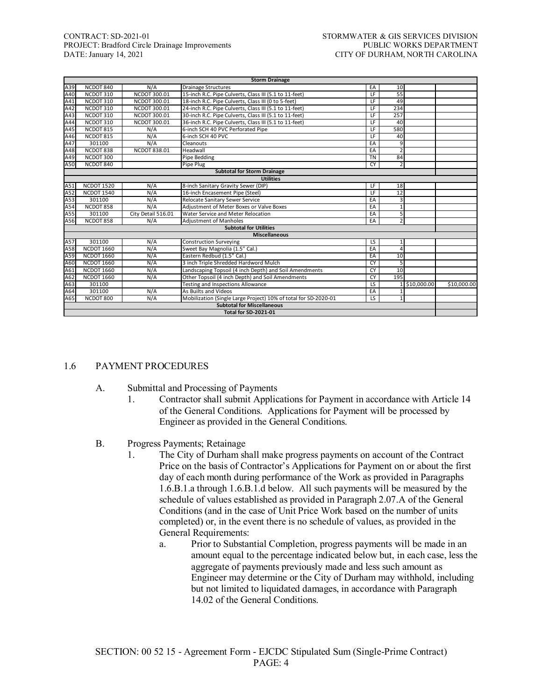# CONTRACT: SD-2021-01<br>
PROJECT: Bradford Circle Drainage Improvements<br>
PUBLIC WORKS DEPARTMENT PROJECT: Bradford Circle Drainage Improvements DATE: January 14, 2021

| <b>Storm Drainage</b>              |                   |                    |                                                                 |                          |                 |               |             |  |  |
|------------------------------------|-------------------|--------------------|-----------------------------------------------------------------|--------------------------|-----------------|---------------|-------------|--|--|
| A39                                | NCDOT 840         | N/A                | <b>Drainage Structures</b>                                      | EA                       | 10              |               |             |  |  |
| A40                                | NCDOT 310         | NCDOT 300.01       | 15-inch R.C. Pipe Culverts, Class III (5.1 to 11-feet)          | $\overline{LF}$          | $\overline{55}$ |               |             |  |  |
| A41                                | NCDOT 310         | NCDOT 300.01       | 18-inch R.C. Pipe Culverts, Class III (0 to 5-feet)             | $\overline{LF}$          | 49              |               |             |  |  |
| A42                                | NCDOT 310         | NCDOT 300.01       | 24-inch R.C. Pipe Culverts, Class III (5.1 to 11-feet)          | LF                       | 234             |               |             |  |  |
| A43                                | NCDOT 310         | NCDOT 300.01       | 30-inch R.C. Pipe Culverts, Class III (5.1 to 11-feet)          | LF                       | 257             |               |             |  |  |
| A44                                | NCDOT 310         | NCDOT 300.01       | 36-inch R.C. Pipe Culverts, Class III (5.1 to 11-feet)          | LF                       | 40              |               |             |  |  |
| A45                                | NCDOT 815         | N/A                | 6-inch SCH 40 PVC Perforated Pipe                               | $\overline{LF}$          | 580             |               |             |  |  |
| A46                                | NCDOT 815         | N/A                | 6-inch SCH 40 PVC                                               | LF                       | 40              |               |             |  |  |
| A47                                | 301100            | N/A                | Cleanouts                                                       | EA                       | 9               |               |             |  |  |
| A48                                | NCDOT 838         | NCDOT 838.01       | Headwall                                                        | EA                       | $\overline{2}$  |               |             |  |  |
| A49                                | NCDOT 300         |                    | Pipe Bedding                                                    | <b>TN</b>                | 84              |               |             |  |  |
| A50                                | NCDOT 840         |                    | Pipe Plug                                                       | <b>CY</b>                | $\overline{2}$  |               |             |  |  |
| <b>Subtotal for Storm Drainage</b> |                   |                    |                                                                 |                          |                 |               |             |  |  |
|                                    |                   |                    | <b>Utilities</b>                                                |                          |                 |               |             |  |  |
| A51                                | <b>NCDOT 1520</b> | N/A                | 8-inch Sanitary Gravity Sewer (DIP)                             | LF                       | 18              |               |             |  |  |
| A52                                | <b>NCDOT 1540</b> | N/A                | 16-inch Encasement Pipe (Steel)                                 | ΤF                       | 12              |               |             |  |  |
| A53                                | 301100            | N/A                | Relocate Sanitary Sewer Service                                 | EA                       | 3               |               |             |  |  |
| A54                                | NCDOT 858         | N/A                | Adjustment of Meter Boxes or Valve Boxes                        | EA                       | $\mathbf{1}$    |               |             |  |  |
| A55                                | 301100            | City Detail 516.01 | Water Service and Meter Relocation                              | EA                       | 5               |               |             |  |  |
| A56                                | NCDOT 858         | N/A                | <b>Adjustment of Manholes</b>                                   | EA                       | $\overline{2}$  |               |             |  |  |
|                                    |                   |                    | <b>Subtotal for Utilities</b>                                   |                          |                 |               |             |  |  |
|                                    |                   |                    | <b>Miscellaneous</b>                                            |                          |                 |               |             |  |  |
| A57                                | 301100            | N/A                | <b>Construction Surveying</b>                                   | $\overline{\mathsf{LS}}$ | $\mathbf{1}$    |               |             |  |  |
| A58                                | NCDOT 1660        | N/A                | Sweet Bay Magnolia (1.5" Cal.)                                  | EA                       | 4               |               |             |  |  |
| A59                                | <b>NCDOT 1660</b> | N/A                | Eastern Redbud (1.5" Cal.)                                      | EA                       | 10              |               |             |  |  |
| A60                                | <b>NCDOT 1660</b> | N/A                | 3 inch Triple Shredded Hardword Mulch                           | CY                       | 5               |               |             |  |  |
| A61                                | <b>NCDOT 1660</b> | N/A                | Landscaping Topsoil (4 inch Depth) and Soil Amendments          | CY                       | 10              |               |             |  |  |
| A62                                | <b>NCDOT 1660</b> | N/A                | Other Topsoil (4 inch Depth) and Soil Amendments                | CY                       | 195             |               |             |  |  |
| A63                                | 301100            |                    | Testing and Inspections Allowance                               | $\overline{\mathsf{LS}}$ |                 | 1 \$10,000.00 | \$10,000.00 |  |  |
| A64                                | 301100            | N/A                | As Builts and Videos                                            | EA                       |                 |               |             |  |  |
| A65                                | NCDOT 800         | N/A                | Mobilization (Single Large Project) 10% of total for SD-2020-01 | LS.                      | $\mathbf{1}$    |               |             |  |  |
|                                    |                   |                    | <b>Subtotal for Miscellaneous</b>                               |                          |                 |               |             |  |  |
|                                    |                   |                    | <b>Total for SD-2021-01</b>                                     |                          |                 |               |             |  |  |

#### 1.6 PAYMENT PROCEDURES

- A. Submittal and Processing of Payments
	- 1. Contractor shall submit Applications for Payment in accordance with Article 14 of the General Conditions. Applications for Payment will be processed by Engineer as provided in the General Conditions.
- B. Progress Payments; Retainage
	- 1. The City of Durham shall make progress payments on account of the Contract Price on the basis of Contractor's Applications for Payment on or about the first day of each month during performance of the Work as provided in Paragraphs 1.6.B.1.a through 1.6.B.1.d below. All such payments will be measured by the schedule of values established as provided in Paragraph 2.07.A of the General Conditions (and in the case of Unit Price Work based on the number of units completed) or, in the event there is no schedule of values, as provided in the General Requirements:
		- a. Prior to Substantial Completion, progress payments will be made in an amount equal to the percentage indicated below but, in each case, less the aggregate of payments previously made and less such amount as Engineer may determine or the City of Durham may withhold, including but not limited to liquidated damages, in accordance with Paragraph 14.02 of the General Conditions.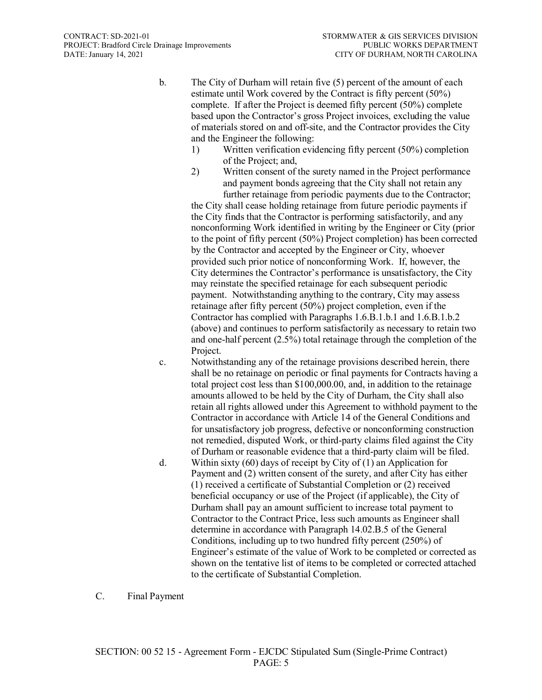- b. The City of Durham will retain five (5) percent of the amount of each estimate until Work covered by the Contract is fifty percent (50%) complete. If after the Project is deemed fifty percent (50%) complete based upon the Contractor's gross Project invoices, excluding the value of materials stored on and off-site, and the Contractor provides the City and the Engineer the following:
	- 1) Written verification evidencing fifty percent (50%) completion of the Project; and,
	- 2) Written consent of the surety named in the Project performance and payment bonds agreeing that the City shall not retain any further retainage from periodic payments due to the Contractor;

the City shall cease holding retainage from future periodic payments if the City finds that the Contractor is performing satisfactorily, and any nonconforming Work identified in writing by the Engineer or City (prior to the point of fifty percent (50%) Project completion) has been corrected by the Contractor and accepted by the Engineer or City, whoever provided such prior notice of nonconforming Work. If, however, the City determines the Contractor's performance is unsatisfactory, the City may reinstate the specified retainage for each subsequent periodic payment. Notwithstanding anything to the contrary, City may assess retainage after fifty percent (50%) project completion, even if the Contractor has complied with Paragraphs 1.6.B.1.b.1 and 1.6.B.1.b.2 (above) and continues to perform satisfactorily as necessary to retain two and one-half percent (2.5%) total retainage through the completion of the Project.

- c. Notwithstanding any of the retainage provisions described herein, there shall be no retainage on periodic or final payments for Contracts having a total project cost less than \$100,000.00, and, in addition to the retainage amounts allowed to be held by the City of Durham, the City shall also retain all rights allowed under this Agreement to withhold payment to the Contractor in accordance with Article 14 of the General Conditions and for unsatisfactory job progress, defective or nonconforming construction not remedied, disputed Work, or third-party claims filed against the City of Durham or reasonable evidence that a third-party claim will be filed.
- d. Within sixty (60) days of receipt by City of (1) an Application for Payment and (2) written consent of the surety, and after City has either (1) received a certificate of Substantial Completion or (2) received beneficial occupancy or use of the Project (if applicable), the City of Durham shall pay an amount sufficient to increase total payment to Contractor to the Contract Price, less such amounts as Engineer shall determine in accordance with Paragraph 14.02.B.5 of the General Conditions, including up to two hundred fifty percent (250%) of Engineer's estimate of the value of Work to be completed or corrected as shown on the tentative list of items to be completed or corrected attached to the certificate of Substantial Completion.
- C. Final Payment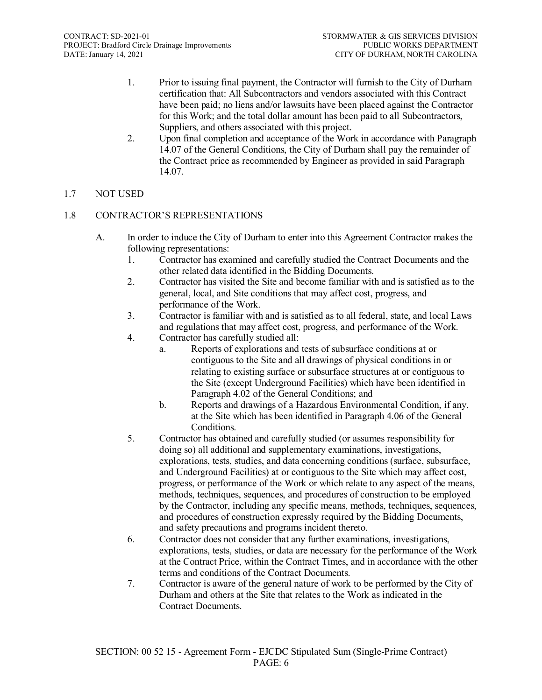- 1. Prior to issuing final payment, the Contractor will furnish to the City of Durham certification that: All Subcontractors and vendors associated with this Contract have been paid; no liens and/or lawsuits have been placed against the Contractor for this Work; and the total dollar amount has been paid to all Subcontractors, Suppliers, and others associated with this project.
- 2. Upon final completion and acceptance of the Work in accordance with Paragraph 14.07 of the General Conditions, the City of Durham shall pay the remainder of the Contract price as recommended by Engineer as provided in said Paragraph 14.07.

# 1.7 NOT USED

# 1.8 CONTRACTOR'S REPRESENTATIONS

- A. In order to induce the City of Durham to enter into this Agreement Contractor makes the following representations:
	- 1. Contractor has examined and carefully studied the Contract Documents and the other related data identified in the Bidding Documents.
	- 2. Contractor has visited the Site and become familiar with and is satisfied as to the general, local, and Site conditions that may affect cost, progress, and performance of the Work.
	- 3. Contractor is familiar with and is satisfied as to all federal, state, and local Laws and regulations that may affect cost, progress, and performance of the Work.
	- 4. Contractor has carefully studied all:
		- a. Reports of explorations and tests of subsurface conditions at or contiguous to the Site and all drawings of physical conditions in or relating to existing surface or subsurface structures at or contiguous to the Site (except Underground Facilities) which have been identified in Paragraph 4.02 of the General Conditions; and
		- b. Reports and drawings of a Hazardous Environmental Condition, if any, at the Site which has been identified in Paragraph 4.06 of the General Conditions.
	- 5. Contractor has obtained and carefully studied (or assumes responsibility for doing so) all additional and supplementary examinations, investigations, explorations, tests, studies, and data concerning conditions (surface, subsurface, and Underground Facilities) at or contiguous to the Site which may affect cost, progress, or performance of the Work or which relate to any aspect of the means, methods, techniques, sequences, and procedures of construction to be employed by the Contractor, including any specific means, methods, techniques, sequences, and procedures of construction expressly required by the Bidding Documents, and safety precautions and programs incident thereto.
	- 6. Contractor does not consider that any further examinations, investigations, explorations, tests, studies, or data are necessary for the performance of the Work at the Contract Price, within the Contract Times, and in accordance with the other terms and conditions of the Contract Documents.
	- 7. Contractor is aware of the general nature of work to be performed by the City of Durham and others at the Site that relates to the Work as indicated in the Contract Documents.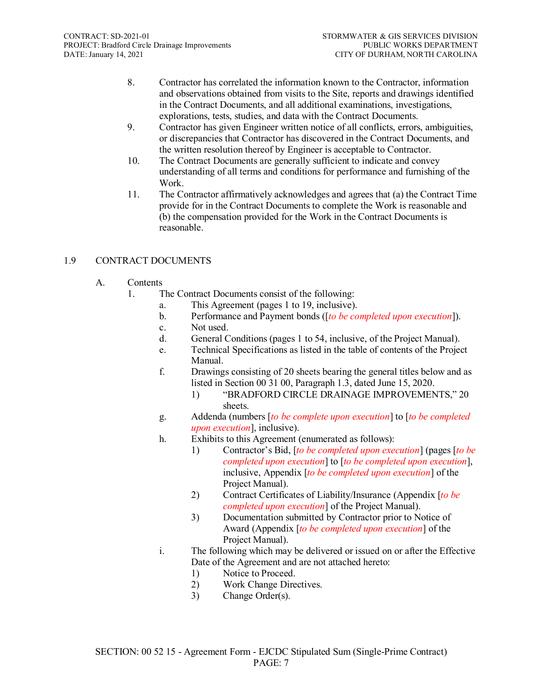- 8. Contractor has correlated the information known to the Contractor, information and observations obtained from visits to the Site, reports and drawings identified in the Contract Documents, and all additional examinations, investigations, explorations, tests, studies, and data with the Contract Documents.
- 9. Contractor has given Engineer written notice of all conflicts, errors, ambiguities, or discrepancies that Contractor has discovered in the Contract Documents, and the written resolution thereof by Engineer is acceptable to Contractor.
- 10. The Contract Documents are generally sufficient to indicate and convey understanding of all terms and conditions for performance and furnishing of the Work.
- 11. The Contractor affirmatively acknowledges and agrees that (a) the Contract Time provide for in the Contract Documents to complete the Work is reasonable and (b) the compensation provided for the Work in the Contract Documents is reasonable.

# 1.9 CONTRACT DOCUMENTS

- A. Contents
	- 1. The Contract Documents consist of the following:
		- a. This Agreement (pages 1 to 19, inclusive).
		- b. Performance and Payment bonds ([*to be completed upon execution*]).
		- c. Not used.
		- d. General Conditions (pages 1 to 54, inclusive, of the Project Manual).
		- e. Technical Specifications as listed in the table of contents of the Project Manual.
		- f. Drawings consisting of 20 sheets bearing the general titles below and as listed in Section 00 31 00, Paragraph 1.3, dated June 15, 2020.
			- 1) "BRADFORD CIRCLE DRAINAGE IMPROVEMENTS," 20 sheets.
		- g. Addenda (numbers [*to be complete upon execution*] to [*to be completed upon execution*], inclusive).
		- h. Exhibits to this Agreement (enumerated as follows):
			- 1) Contractor's Bid, [*to be completed upon execution*] (pages [*to be completed upon execution*] to [*to be completed upon execution*], inclusive, Appendix [*to be completed upon execution*] of the Project Manual).
			- 2) Contract Certificates of Liability/Insurance (Appendix [*to be completed upon execution*] of the Project Manual).
			- 3) Documentation submitted by Contractor prior to Notice of Award (Appendix [*to be completed upon execution*] of the Project Manual).
		- i. The following which may be delivered or issued on or after the Effective Date of the Agreement and are not attached hereto:
			- 1) Notice to Proceed.
			- 2) Work Change Directives.
			- 3) Change Order(s).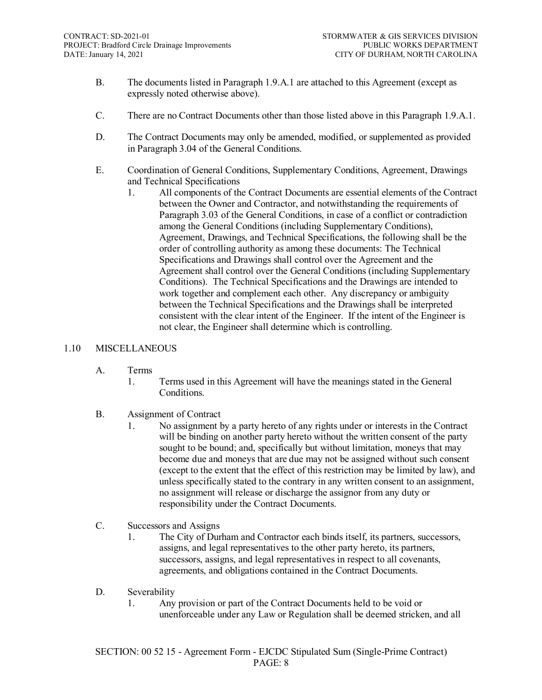- B. The documents listed in Paragraph 1.9.A.1 are attached to this Agreement (except as expressly noted otherwise above).
- C. There are no Contract Documents other than those listed above in this Paragraph 1.9.A.1.
- D. The Contract Documents may only be amended, modified, or supplemented as provided in Paragraph 3.04 of the General Conditions.
- E. Coordination of General Conditions, Supplementary Conditions, Agreement, Drawings and Technical Specifications
	- 1. All components of the Contract Documents are essential elements of the Contract between the Owner and Contractor, and notwithstanding the requirements of Paragraph 3.03 of the General Conditions, in case of a conflict or contradiction among the General Conditions (including Supplementary Conditions), Agreement, Drawings, and Technical Specifications, the following shall be the order of controlling authority as among these documents: The Technical Specifications and Drawings shall control over the Agreement and the Agreement shall control over the General Conditions (including Supplementary Conditions). The Technical Specifications and the Drawings are intended to work together and complement each other. Any discrepancy or ambiguity between the Technical Specifications and the Drawings shall be interpreted consistent with the clear intent of the Engineer. If the intent of the Engineer is not clear, the Engineer shall determine which is controlling.

#### 1.10 MISCELLANEOUS

- A. Terms
	- 1. Terms used in this Agreement will have the meanings stated in the General Conditions.

#### B. Assignment of Contract

- 1. No assignment by a party hereto of any rights under or interests in the Contract will be binding on another party hereto without the written consent of the party sought to be bound; and, specifically but without limitation, moneys that may become due and moneys that are due may not be assigned without such consent (except to the extent that the effect of this restriction may be limited by law), and unless specifically stated to the contrary in any written consent to an assignment, no assignment will release or discharge the assignor from any duty or responsibility under the Contract Documents.
- C. Successors and Assigns
	- 1. The City of Durham and Contractor each binds itself, its partners, successors, assigns, and legal representatives to the other party hereto, its partners, successors, assigns, and legal representatives in respect to all covenants, agreements, and obligations contained in the Contract Documents.

#### D. Severability

1. Any provision or part of the Contract Documents held to be void or unenforceable under any Law or Regulation shall be deemed stricken, and all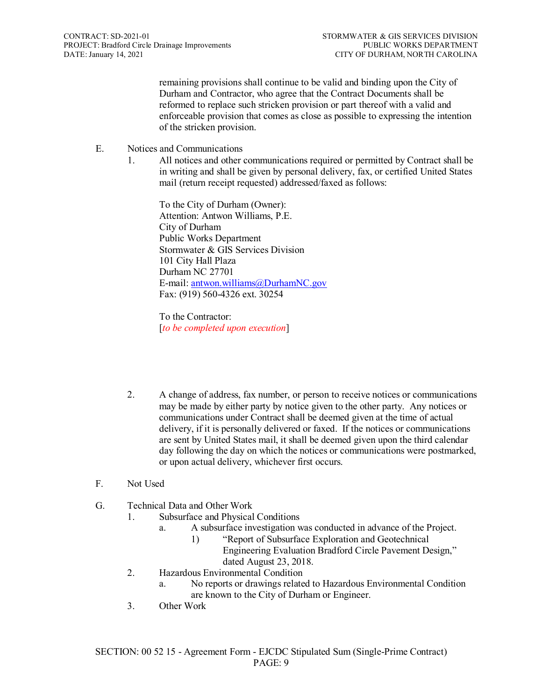remaining provisions shall continue to be valid and binding upon the City of Durham and Contractor, who agree that the Contract Documents shall be reformed to replace such stricken provision or part thereof with a valid and enforceable provision that comes as close as possible to expressing the intention of the stricken provision.

- E. Notices and Communications
	- 1. All notices and other communications required or permitted by Contract shall be in writing and shall be given by personal delivery, fax, or certified United States mail (return receipt requested) addressed/faxed as follows:

To the City of Durham (Owner): Attention: Antwon Williams, P.E. City of Durham Public Works Department Stormwater & GIS Services Division 101 City Hall Plaza Durham NC 27701 E-mail[: antwon.williams@DurhamNC.gov](mailto:antwon.williams@DurhamNC.gov) Fax: (919) 560-4326 ext. 30254

To the Contractor: [*to be completed upon execution*]

- 2. A change of address, fax number, or person to receive notices or communications may be made by either party by notice given to the other party. Any notices or communications under Contract shall be deemed given at the time of actual delivery, if it is personally delivered or faxed. If the notices or communications are sent by United States mail, it shall be deemed given upon the third calendar day following the day on which the notices or communications were postmarked, or upon actual delivery, whichever first occurs.
- F. Not Used
- G. Technical Data and Other Work
	- 1. Subsurface and Physical Conditions
		- a. A subsurface investigation was conducted in advance of the Project.
			- 1) "Report of Subsurface Exploration and Geotechnical Engineering Evaluation Bradford Circle Pavement Design," dated August 23, 2018.
	- 2. Hazardous Environmental Condition
		- a. No reports or drawings related to Hazardous Environmental Condition are known to the City of Durham or Engineer.
	- 3. Other Work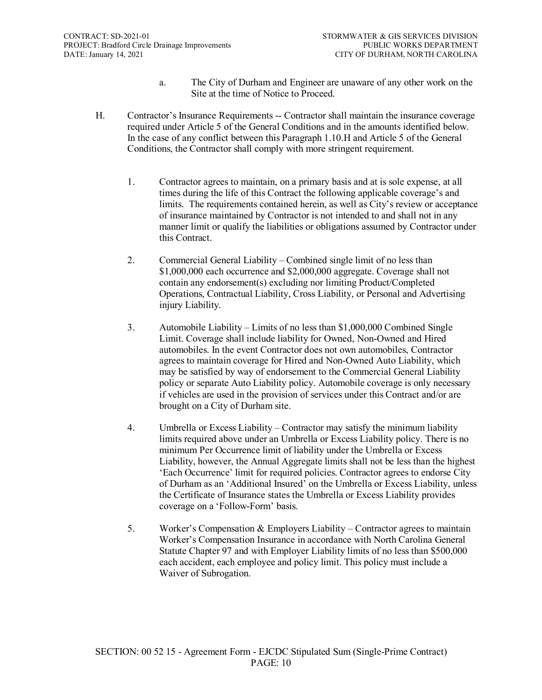- a. The City of Durham and Engineer are unaware of any other work on the Site at the time of Notice to Proceed.
- H. Contractor's Insurance Requirements -- Contractor shall maintain the insurance coverage required under Article 5 of the General Conditions and in the amounts identified below. In the case of any conflict between this Paragraph 1.10.H and Article 5 of the General Conditions, the Contractor shall comply with more stringent requirement.
	- 1. Contractor agrees to maintain, on a primary basis and at is sole expense, at all times during the life of this Contract the following applicable coverage's and limits. The requirements contained herein, as well as City's review or acceptance of insurance maintained by Contractor is not intended to and shall not in any manner limit or qualify the liabilities or obligations assumed by Contractor under this Contract.
	- 2. Commercial General Liability Combined single limit of no less than \$1,000,000 each occurrence and \$2,000,000 aggregate. Coverage shall not contain any endorsement(s) excluding nor limiting Product/Completed Operations, Contractual Liability, Cross Liability, or Personal and Advertising injury Liability.
	- 3. Automobile Liability Limits of no less than \$1,000,000 Combined Single Limit. Coverage shall include liability for Owned, Non-Owned and Hired automobiles. In the event Contractor does not own automobiles, Contractor agrees to maintain coverage for Hired and Non-Owned Auto Liability, which may be satisfied by way of endorsement to the Commercial General Liability policy or separate Auto Liability policy. Automobile coverage is only necessary if vehicles are used in the provision of services under this Contract and/or are brought on a City of Durham site.
	- 4. Umbrella or Excess Liability Contractor may satisfy the minimum liability limits required above under an Umbrella or Excess Liability policy. There is no minimum Per Occurrence limit of liability under the Umbrella or Excess Liability, however, the Annual Aggregate limits shall not be less than the highest 'Each Occurrence' limit for required policies. Contractor agrees to endorse City of Durham as an 'Additional Insured' on the Umbrella or Excess Liability, unless the Certificate of Insurance states the Umbrella or Excess Liability provides coverage on a 'Follow-Form' basis.
	- 5. Worker's Compensation & Employers Liability Contractor agrees to maintain Worker's Compensation Insurance in accordance with North Carolina General Statute Chapter 97 and with Employer Liability limits of no less than \$500,000 each accident, each employee and policy limit. This policy must include a Waiver of Subrogation.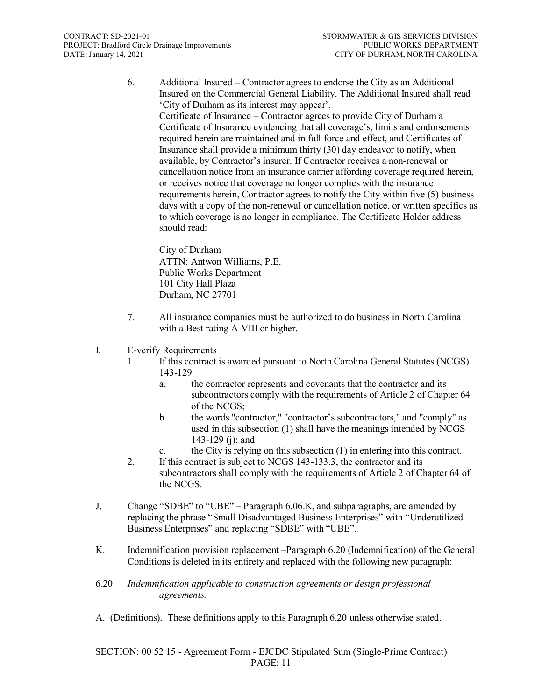6. Additional Insured – Contractor agrees to endorse the City as an Additional Insured on the Commercial General Liability. The Additional Insured shall read 'City of Durham as its interest may appear'.

Certificate of Insurance – Contractor agrees to provide City of Durham a Certificate of Insurance evidencing that all coverage's, limits and endorsements required herein are maintained and in full force and effect, and Certificates of Insurance shall provide a minimum thirty (30) day endeavor to notify, when available, by Contractor's insurer. If Contractor receives a non-renewal or cancellation notice from an insurance carrier affording coverage required herein, or receives notice that coverage no longer complies with the insurance requirements herein, Contractor agrees to notify the City within five (5) business days with a copy of the non-renewal or cancellation notice, or written specifics as to which coverage is no longer in compliance. The Certificate Holder address should read:

City of Durham ATTN: Antwon Williams, P.E. Public Works Department 101 City Hall Plaza Durham, NC 27701

- 7. All insurance companies must be authorized to do business in North Carolina with a Best rating A-VIII or higher.
- I. E-verify Requirements
	- 1. If this contract is awarded pursuant to North Carolina General Statutes (NCGS) 143-129
		- a. the contractor represents and covenants that the contractor and its subcontractors comply with the requirements of Article 2 of Chapter 64 of the NCGS;
		- b. the words "contractor," "contractor's subcontractors," and "comply" as used in this subsection (1) shall have the meanings intended by NCGS 143-129 (j); and
		- c. the City is relying on this subsection (1) in entering into this contract.
	- 2. If this contract is subject to NCGS 143-133.3, the contractor and its subcontractors shall comply with the requirements of Article 2 of Chapter 64 of the NCGS.
- J. Change "SDBE" to "UBE" Paragraph 6.06.K, and subparagraphs, are amended by replacing the phrase "Small Disadvantaged Business Enterprises" with "Underutilized Business Enterprises" and replacing "SDBE" with "UBE".
- K. Indemnification provision replacement –Paragraph 6.20 (Indemnification) of the General Conditions is deleted in its entirety and replaced with the following new paragraph:
- 6.20 *Indemnification applicable to construction agreements or design professional agreements.*
- A. (Definitions). These definitions apply to this Paragraph 6.20 unless otherwise stated.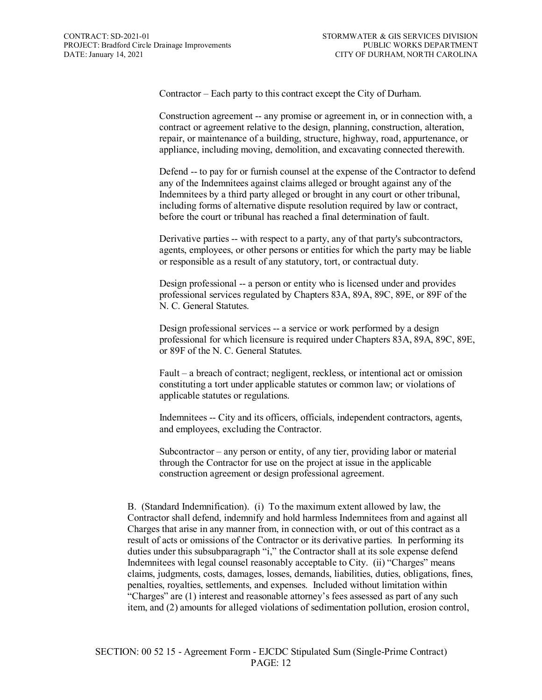Contractor – Each party to this contract except the City of Durham.

Construction agreement -- any promise or agreement in, or in connection with, a contract or agreement relative to the design, planning, construction, alteration, repair, or maintenance of a building, structure, highway, road, appurtenance, or appliance, including moving, demolition, and excavating connected therewith.

Defend -- to pay for or furnish counsel at the expense of the Contractor to defend any of the Indemnitees against claims alleged or brought against any of the Indemnitees by a third party alleged or brought in any court or other tribunal, including forms of alternative dispute resolution required by law or contract, before the court or tribunal has reached a final determination of fault.

Derivative parties -- with respect to a party, any of that party's subcontractors, agents, employees, or other persons or entities for which the party may be liable or responsible as a result of any statutory, tort, or contractual duty.

Design professional -- a person or entity who is licensed under and provides professional services regulated by Chapters 83A, 89A, 89C, 89E, or 89F of the N. C. General Statutes.

Design professional services -- a service or work performed by a design professional for which licensure is required under Chapters 83A, 89A, 89C, 89E, or 89F of the N. C. General Statutes.

Fault – a breach of contract; negligent, reckless, or intentional act or omission constituting a tort under applicable statutes or common law; or violations of applicable statutes or regulations.

Indemnitees -- City and its officers, officials, independent contractors, agents, and employees, excluding the Contractor.

Subcontractor – any person or entity, of any tier, providing labor or material through the Contractor for use on the project at issue in the applicable construction agreement or design professional agreement.

B. (Standard Indemnification). (i) To the maximum extent allowed by law, the Contractor shall defend, indemnify and hold harmless Indemnitees from and against all Charges that arise in any manner from, in connection with, or out of this contract as a result of acts or omissions of the Contractor or its derivative parties. In performing its duties under this subsubparagraph "i," the Contractor shall at its sole expense defend Indemnitees with legal counsel reasonably acceptable to City. (ii) "Charges" means claims, judgments, costs, damages, losses, demands, liabilities, duties, obligations, fines, penalties, royalties, settlements, and expenses. Included without limitation within "Charges" are (1) interest and reasonable attorney's fees assessed as part of any such item, and (2) amounts for alleged violations of sedimentation pollution, erosion control,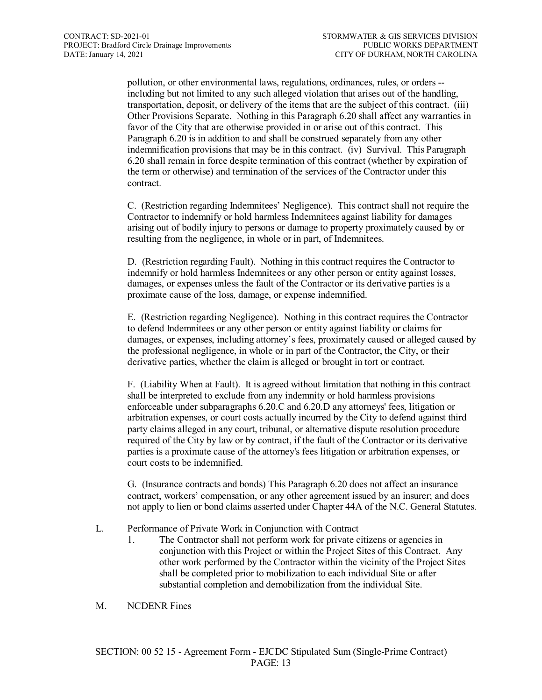pollution, or other environmental laws, regulations, ordinances, rules, or orders - including but not limited to any such alleged violation that arises out of the handling, transportation, deposit, or delivery of the items that are the subject of this contract. (iii) Other Provisions Separate. Nothing in this Paragraph 6.20 shall affect any warranties in favor of the City that are otherwise provided in or arise out of this contract. This Paragraph 6.20 is in addition to and shall be construed separately from any other indemnification provisions that may be in this contract. (iv) Survival. This Paragraph 6.20 shall remain in force despite termination of this contract (whether by expiration of the term or otherwise) and termination of the services of the Contractor under this contract.

C. (Restriction regarding Indemnitees' Negligence). This contract shall not require the Contractor to indemnify or hold harmless Indemnitees against liability for damages arising out of bodily injury to persons or damage to property proximately caused by or resulting from the negligence, in whole or in part, of Indemnitees.

D. (Restriction regarding Fault). Nothing in this contract requires the Contractor to indemnify or hold harmless Indemnitees or any other person or entity against losses, damages, or expenses unless the fault of the Contractor or its derivative parties is a proximate cause of the loss, damage, or expense indemnified.

E. (Restriction regarding Negligence). Nothing in this contract requires the Contractor to defend Indemnitees or any other person or entity against liability or claims for damages, or expenses, including attorney's fees, proximately caused or alleged caused by the professional negligence, in whole or in part of the Contractor, the City, or their derivative parties, whether the claim is alleged or brought in tort or contract.

F. (Liability When at Fault). It is agreed without limitation that nothing in this contract shall be interpreted to exclude from any indemnity or hold harmless provisions enforceable under subparagraphs 6.20.C and 6.20.D any attorneys' fees, litigation or arbitration expenses, or court costs actually incurred by the City to defend against third party claims alleged in any court, tribunal, or alternative dispute resolution procedure required of the City by law or by contract, if the fault of the Contractor or its derivative parties is a proximate cause of the attorney's fees litigation or arbitration expenses, or court costs to be indemnified.

G. (Insurance contracts and bonds) This Paragraph 6.20 does not affect an insurance contract, workers' compensation, or any other agreement issued by an insurer; and does not apply to lien or bond claims asserted under Chapter 44A of the N.C. General Statutes.

#### L. Performance of Private Work in Conjunction with Contract

1. The Contractor shall not perform work for private citizens or agencies in conjunction with this Project or within the Project Sites of this Contract. Any other work performed by the Contractor within the vicinity of the Project Sites shall be completed prior to mobilization to each individual Site or after substantial completion and demobilization from the individual Site.

#### M. NCDENR Fines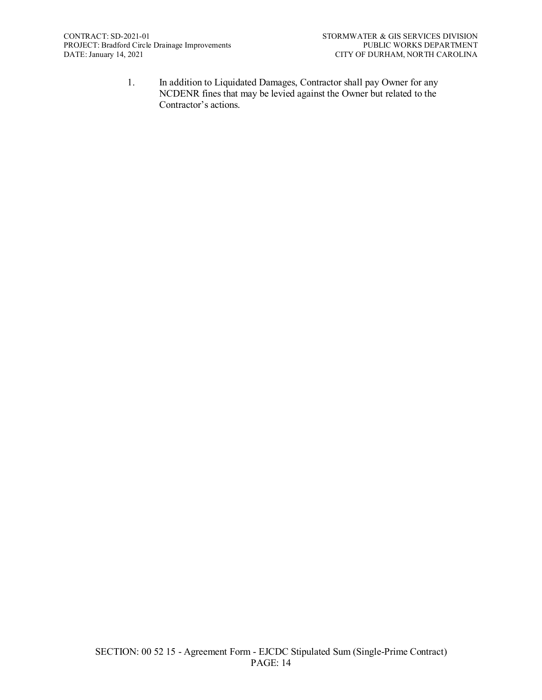1. In addition to Liquidated Damages, Contractor shall pay Owner for any NCDENR fines that may be levied against the Owner but related to the Contractor's actions.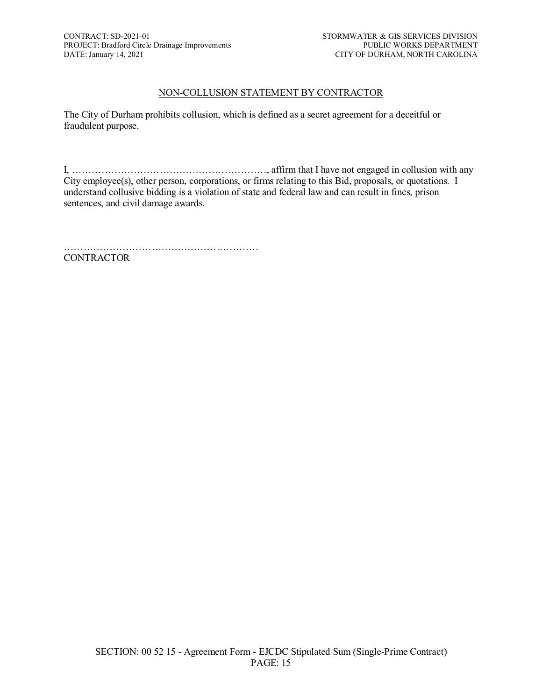# NON-COLLUSION STATEMENT BY CONTRACTOR

The City of Durham prohibits collusion, which is defined as a secret agreement for a deceitful or fraudulent purpose.

I, ……………………………………………………, affirm that I have not engaged in collusion with any City employee(s), other person, corporations, or firms relating to this Bid, proposals, or quotations. I understand collusive bidding is a violation of state and federal law and can result in fines, prison sentences, and civil damage awards.

…………………………………………………… **CONTRACTOR**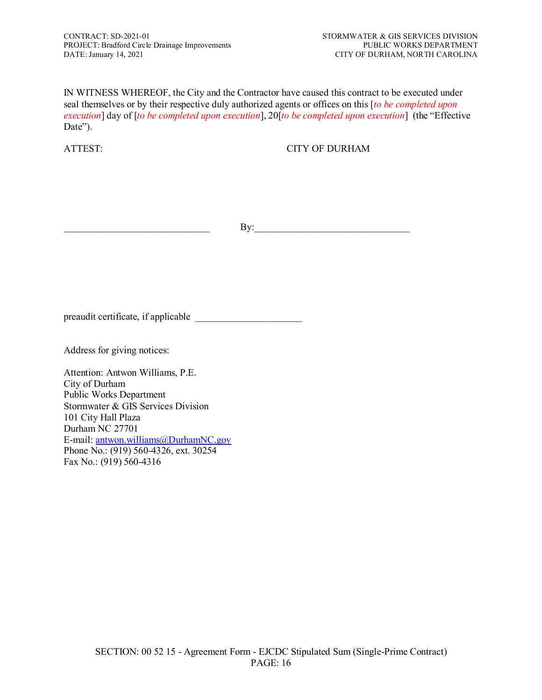IN WITNESS WHEREOF, the City and the Contractor have caused this contract to be executed under seal themselves or by their respective duly authorized agents or offices on this [*to be completed upon execution*] day of [*to be completed upon execution*], 20[*to be completed upon execution*] (the "Effective Date").

ATTEST: CITY OF DURHAM

\_\_\_\_\_\_\_\_\_\_\_\_\_\_\_\_\_\_\_\_\_\_\_\_\_\_\_\_\_\_ By:\_\_\_\_\_\_\_\_\_\_\_\_\_\_\_\_\_\_\_\_\_\_\_\_\_\_\_\_\_\_\_\_

preaudit certificate, if applicable \_\_\_\_\_\_\_\_\_\_\_\_\_\_\_\_\_\_\_\_\_\_

Address for giving notices:

Attention: Antwon Williams, P.E. City of Durham Public Works Department Stormwater & GIS Services Division 101 City Hall Plaza Durham NC 27701 E-mail[: antwon.williams@DurhamNC.gov](mailto:antwon.williams@DurhamNC.gov) Phone No.: (919) 560-4326, ext. 30254 Fax No.: (919) 560-4316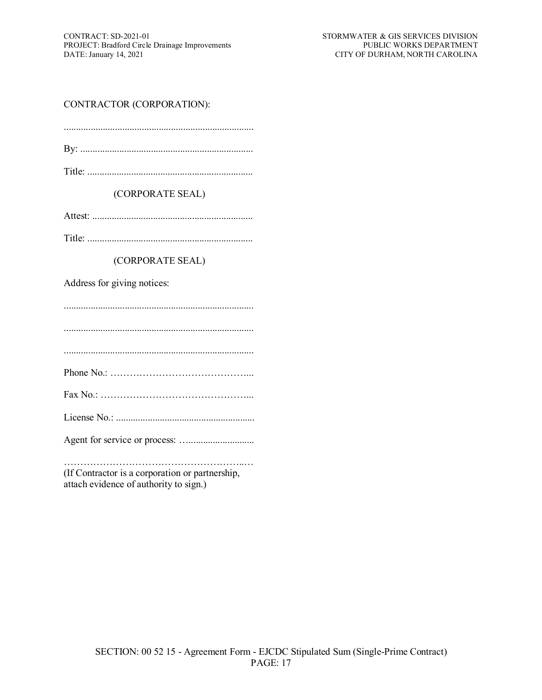# CONTRACTOR (CORPORATION):

Title: ....................................................................

(CORPORATE SEAL)

Attest: ..................................................................

Title: ....................................................................

(CORPORATE SEAL)

Address for giving notices:

..............................................................................

..............................................................................

..............................................................................

Phone No.: ……………………………………...

Fax No.: ………………………………………...

License No.: .........................................................

Agent for service or process: …...........................

………………………………………………..… (If Contractor is a corporation or partnership, attach evidence of authority to sign.)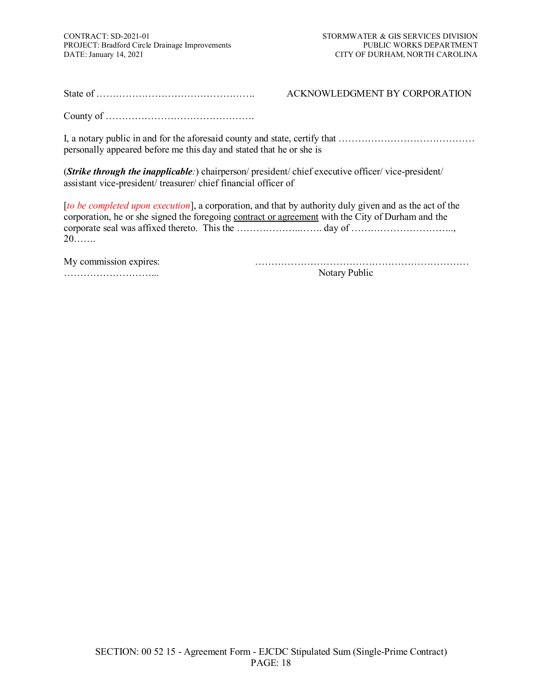State of …………………………………………. ACKNOWLEDGMENT BY CORPORATION

County of ……………………………………….

I, a notary public in and for the aforesaid county and state, certify that …………………………………… personally appeared before me this day and stated that he or she is

(*Strike through the inapplicable:*) chairperson/ president/ chief executive officer/ vice-president/ assistant vice-president/ treasurer/ chief financial officer of

[*to be completed upon execution*], a corporation, and that by authority duly given and as the act of the corporation, he or she signed the foregoing contract or agreement with the City of Durham and the corporate seal was affixed thereto. This the ………………..……. day of ………………………….., 20…….

My commission expires: ………………………………………………………… ………………………... Notary Public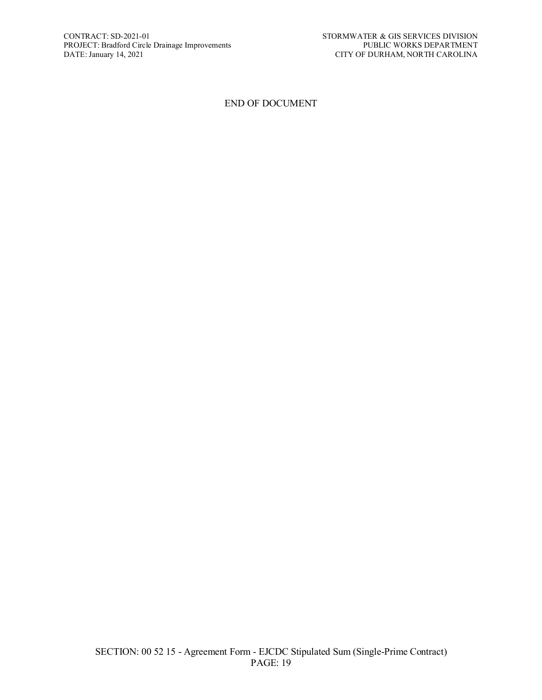#### END OF DOCUMENT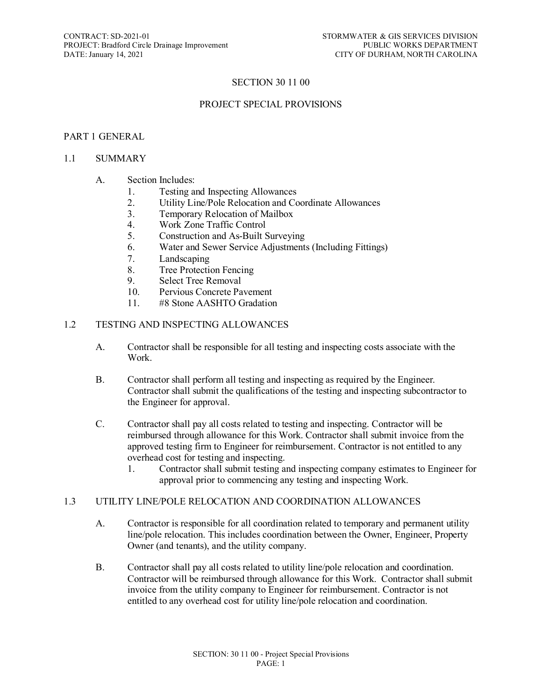# SECTION 30 11 00

#### PROJECT SPECIAL PROVISIONS

#### PART 1 GENERAL

#### 1.1 SUMMARY

#### A. Section Includes:

- 1. Testing and Inspecting Allowances
- 2. Utility Line/Pole Relocation and Coordinate Allowances
- 3. Temporary Relocation of Mailbox
- 4. Work Zone Traffic Control
- 5. Construction and As-Built Surveying
- 6. Water and Sewer Service Adjustments (Including Fittings)
- 7. Landscaping
- 8. Tree Protection Fencing
- 9. Select Tree Removal<br>10. Pervious Concrete Pa
- Pervious Concrete Pavement
- 11. #8 Stone AASHTO Gradation

#### 1.2 TESTING AND INSPECTING ALLOWANCES

- A. Contractor shall be responsible for all testing and inspecting costs associate with the Work.
- B. Contractor shall perform all testing and inspecting as required by the Engineer. Contractor shall submit the qualifications of the testing and inspecting subcontractor to the Engineer for approval.
- C. Contractor shall pay all costs related to testing and inspecting. Contractor will be reimbursed through allowance for this Work. Contractor shall submit invoice from the approved testing firm to Engineer for reimbursement. Contractor is not entitled to any overhead cost for testing and inspecting.
	- 1. Contractor shall submit testing and inspecting company estimates to Engineer for approval prior to commencing any testing and inspecting Work.

#### 1.3 UTILITY LINE/POLE RELOCATION AND COORDINATION ALLOWANCES

- A. Contractor is responsible for all coordination related to temporary and permanent utility line/pole relocation. This includes coordination between the Owner, Engineer, Property Owner (and tenants), and the utility company.
- B. Contractor shall pay all costs related to utility line/pole relocation and coordination. Contractor will be reimbursed through allowance for this Work. Contractor shall submit invoice from the utility company to Engineer for reimbursement. Contractor is not entitled to any overhead cost for utility line/pole relocation and coordination.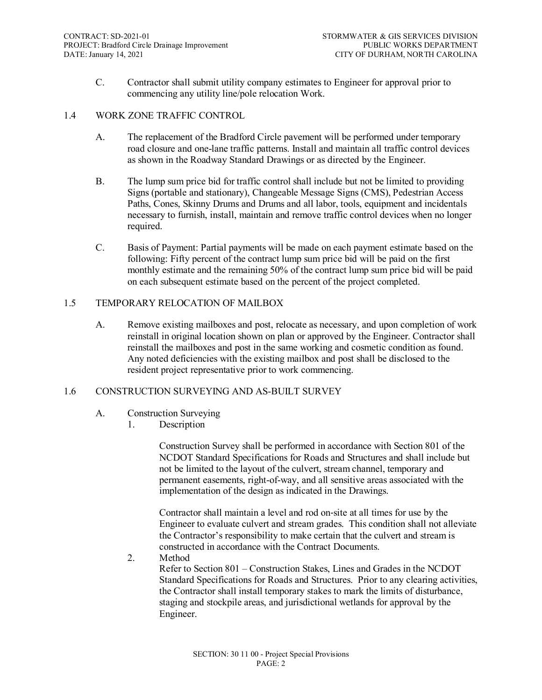C. Contractor shall submit utility company estimates to Engineer for approval prior to commencing any utility line/pole relocation Work.

#### 1.4 WORK ZONE TRAFFIC CONTROL

- A. The replacement of the Bradford Circle pavement will be performed under temporary road closure and one-lane traffic patterns. Install and maintain all traffic control devices as shown in the Roadway Standard Drawings or as directed by the Engineer.
- B. The lump sum price bid for traffic control shall include but not be limited to providing Signs (portable and stationary), Changeable Message Signs (CMS), Pedestrian Access Paths, Cones, Skinny Drums and Drums and all labor, tools, equipment and incidentals necessary to furnish, install, maintain and remove traffic control devices when no longer required.
- C. Basis of Payment: Partial payments will be made on each payment estimate based on the following: Fifty percent of the contract lump sum price bid will be paid on the first monthly estimate and the remaining 50% of the contract lump sum price bid will be paid on each subsequent estimate based on the percent of the project completed.

# 1.5 TEMPORARY RELOCATION OF MAILBOX

A. Remove existing mailboxes and post, relocate as necessary, and upon completion of work reinstall in original location shown on plan or approved by the Engineer. Contractor shall reinstall the mailboxes and post in the same working and cosmetic condition as found. Any noted deficiencies with the existing mailbox and post shall be disclosed to the resident project representative prior to work commencing.

# 1.6 CONSTRUCTION SURVEYING AND AS-BUILT SURVEY

- A. Construction Surveying
	- 1. Description

Construction Survey shall be performed in accordance with Section 801 of the NCDOT Standard Specifications for Roads and Structures and shall include but not be limited to the layout of the culvert, stream channel, temporary and permanent easements, right-of-way, and all sensitive areas associated with the implementation of the design as indicated in the Drawings.

Contractor shall maintain a level and rod on‐site at all times for use by the Engineer to evaluate culvert and stream grades. This condition shall not alleviate the Contractor's responsibility to make certain that the culvert and stream is constructed in accordance with the Contract Documents.

2. Method

Refer to Section 801 – Construction Stakes, Lines and Grades in the NCDOT Standard Specifications for Roads and Structures. Prior to any clearing activities, the Contractor shall install temporary stakes to mark the limits of disturbance, staging and stockpile areas, and jurisdictional wetlands for approval by the Engineer.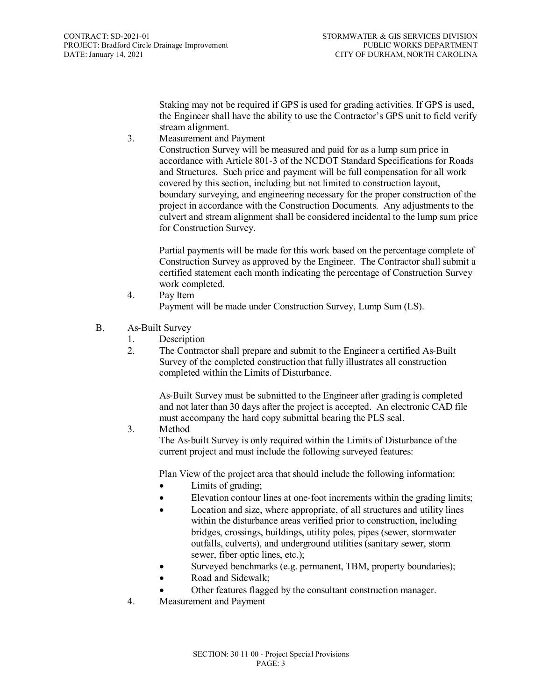Staking may not be required if GPS is used for grading activities. If GPS is used, the Engineer shall have the ability to use the Contractor's GPS unit to field verify stream alignment.

3. Measurement and Payment

Construction Survey will be measured and paid for as a lump sum price in accordance with Article 801‐3 of the NCDOT Standard Specifications for Roads and Structures. Such price and payment will be full compensation for all work covered by this section, including but not limited to construction layout, boundary surveying, and engineering necessary for the proper construction of the project in accordance with the Construction Documents. Any adjustments to the culvert and stream alignment shall be considered incidental to the lump sum price for Construction Survey.

Partial payments will be made for this work based on the percentage complete of Construction Survey as approved by the Engineer. The Contractor shall submit a certified statement each month indicating the percentage of Construction Survey work completed.

- 4. Pay Item Payment will be made under Construction Survey, Lump Sum (LS).
- B. As-Built Survey
	- 1. Description
	- 2. The Contractor shall prepare and submit to the Engineer a certified As-Built Survey of the completed construction that fully illustrates all construction completed within the Limits of Disturbance.

As‐Built Survey must be submitted to the Engineer after grading is completed and not later than 30 days after the project is accepted. An electronic CAD file must accompany the hard copy submittal bearing the PLS seal.

3. Method

The As-built Survey is only required within the Limits of Disturbance of the current project and must include the following surveyed features:

Plan View of the project area that should include the following information:

- Limits of grading;
- Elevation contour lines at one-foot increments within the grading limits;
- Location and size, where appropriate, of all structures and utility lines within the disturbance areas verified prior to construction, including bridges, crossings, buildings, utility poles, pipes (sewer, stormwater outfalls, culverts), and underground utilities (sanitary sewer, storm sewer, fiber optic lines, etc.);
- Surveyed benchmarks (e.g. permanent, TBM, property boundaries);
- Road and Sidewalk;
- Other features flagged by the consultant construction manager.
- 4. Measurement and Payment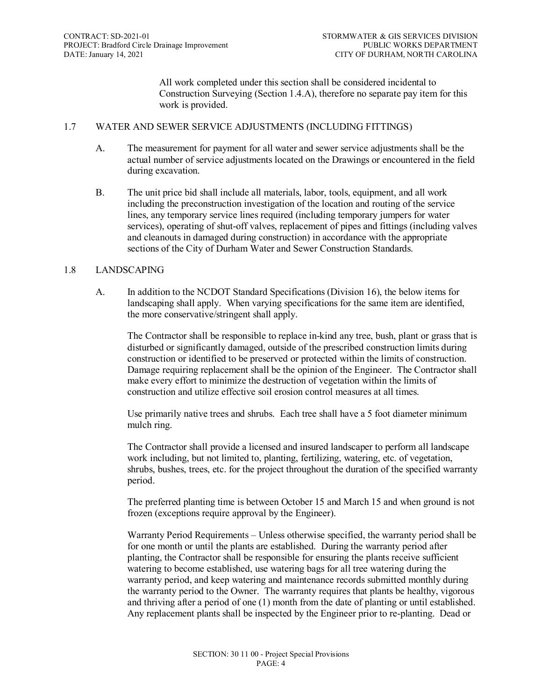All work completed under this section shall be considered incidental to Construction Surveying (Section 1.4.A), therefore no separate pay item for this work is provided.

#### 1.7 WATER AND SEWER SERVICE ADJUSTMENTS (INCLUDING FITTINGS)

- A. The measurement for payment for all water and sewer service adjustments shall be the actual number of service adjustments located on the Drawings or encountered in the field during excavation.
- B. The unit price bid shall include all materials, labor, tools, equipment, and all work including the preconstruction investigation of the location and routing of the service lines, any temporary service lines required (including temporary jumpers for water services), operating of shut-off valves, replacement of pipes and fittings (including valves and cleanouts in damaged during construction) in accordance with the appropriate sections of the City of Durham Water and Sewer Construction Standards.

# 1.8 LANDSCAPING

A. In addition to the NCDOT Standard Specifications (Division 16), the below items for landscaping shall apply. When varying specifications for the same item are identified, the more conservative/stringent shall apply.

The Contractor shall be responsible to replace in-kind any tree, bush, plant or grass that is disturbed or significantly damaged, outside of the prescribed construction limits during construction or identified to be preserved or protected within the limits of construction. Damage requiring replacement shall be the opinion of the Engineer. The Contractor shall make every effort to minimize the destruction of vegetation within the limits of construction and utilize effective soil erosion control measures at all times.

Use primarily native trees and shrubs. Each tree shall have a 5 foot diameter minimum mulch ring.

The Contractor shall provide a licensed and insured landscaper to perform all landscape work including, but not limited to, planting, fertilizing, watering, etc. of vegetation, shrubs, bushes, trees, etc. for the project throughout the duration of the specified warranty period.

The preferred planting time is between October 15 and March 15 and when ground is not frozen (exceptions require approval by the Engineer).

Warranty Period Requirements – Unless otherwise specified, the warranty period shall be for one month or until the plants are established. During the warranty period after planting, the Contractor shall be responsible for ensuring the plants receive sufficient watering to become established, use watering bags for all tree watering during the warranty period, and keep watering and maintenance records submitted monthly during the warranty period to the Owner. The warranty requires that plants be healthy, vigorous and thriving after a period of one (1) month from the date of planting or until established. Any replacement plants shall be inspected by the Engineer prior to re-planting. Dead or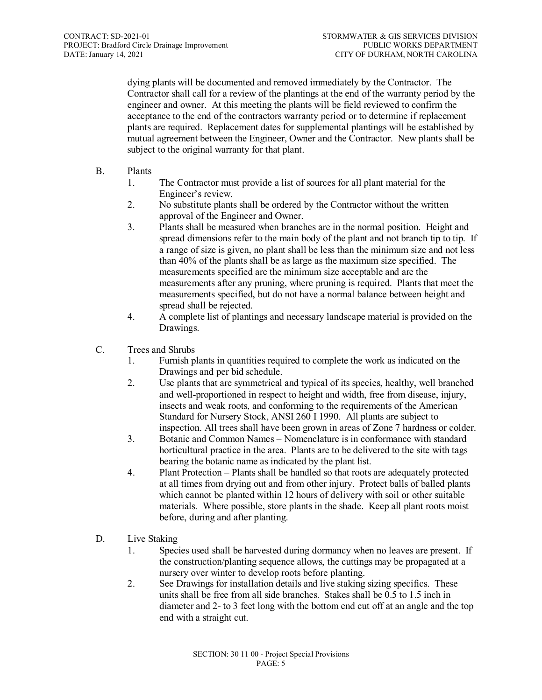dying plants will be documented and removed immediately by the Contractor. The Contractor shall call for a review of the plantings at the end of the warranty period by the engineer and owner. At this meeting the plants will be field reviewed to confirm the acceptance to the end of the contractors warranty period or to determine if replacement plants are required. Replacement dates for supplemental plantings will be established by mutual agreement between the Engineer, Owner and the Contractor. New plants shall be subject to the original warranty for that plant.

- B. Plants
	- 1. The Contractor must provide a list of sources for all plant material for the Engineer's review.
	- 2. No substitute plants shall be ordered by the Contractor without the written approval of the Engineer and Owner.
	- 3. Plants shall be measured when branches are in the normal position. Height and spread dimensions refer to the main body of the plant and not branch tip to tip. If a range of size is given, no plant shall be less than the minimum size and not less than 40% of the plants shall be as large as the maximum size specified. The measurements specified are the minimum size acceptable and are the measurements after any pruning, where pruning is required. Plants that meet the measurements specified, but do not have a normal balance between height and spread shall be rejected.
	- 4. A complete list of plantings and necessary landscape material is provided on the Drawings.
- C. Trees and Shrubs
	- 1. Furnish plants in quantities required to complete the work as indicated on the Drawings and per bid schedule.
	- 2. Use plants that are symmetrical and typical of its species, healthy, well branched and well-proportioned in respect to height and width, free from disease, injury, insects and weak roots, and conforming to the requirements of the American Standard for Nursery Stock, ANSI 260 I 1990. All plants are subject to inspection. All trees shall have been grown in areas of Zone 7 hardness or colder.
	- 3. Botanic and Common Names Nomenclature is in conformance with standard horticultural practice in the area. Plants are to be delivered to the site with tags bearing the botanic name as indicated by the plant list.
	- 4. Plant Protection Plants shall be handled so that roots are adequately protected at all times from drying out and from other injury. Protect balls of balled plants which cannot be planted within 12 hours of delivery with soil or other suitable materials. Where possible, store plants in the shade. Keep all plant roots moist before, during and after planting.
- D. Live Staking
	- 1. Species used shall be harvested during dormancy when no leaves are present. If the construction/planting sequence allows, the cuttings may be propagated at a nursery over winter to develop roots before planting.
	- 2. See Drawings for installation details and live staking sizing specifics. These units shall be free from all side branches. Stakes shall be 0.5 to 1.5 inch in diameter and 2- to 3 feet long with the bottom end cut off at an angle and the top end with a straight cut.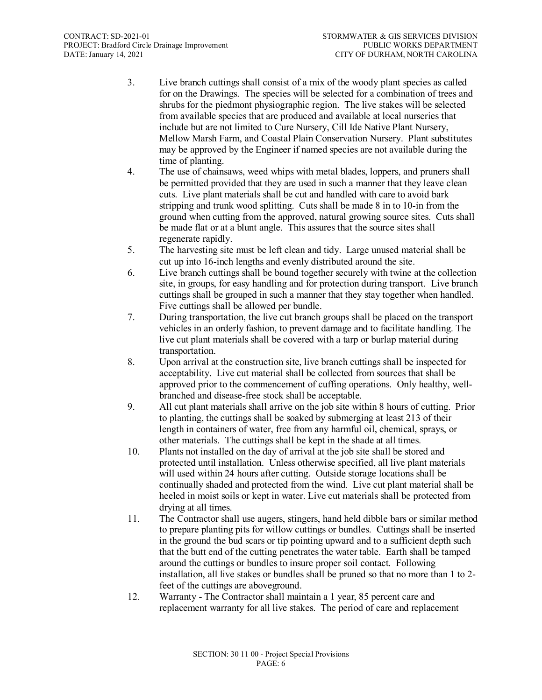- 3. Live branch cuttings shall consist of a mix of the woody plant species as called for on the Drawings. The species will be selected for a combination of trees and shrubs for the piedmont physiographic region. The live stakes will be selected from available species that are produced and available at local nurseries that include but are not limited to Cure Nursery, Cill Ide Native Plant Nursery, Mellow Marsh Farm, and Coastal Plain Conservation Nursery. Plant substitutes may be approved by the Engineer if named species are not available during the time of planting.
- 4. The use of chainsaws, weed whips with metal blades, loppers, and pruners shall be permitted provided that they are used in such a manner that they leave clean cuts. Live plant materials shall be cut and handled with care to avoid bark stripping and trunk wood splitting. Cuts shall be made 8 in to 10-in from the ground when cutting from the approved, natural growing source sites. Cuts shall be made flat or at a blunt angle. This assures that the source sites shall regenerate rapidly.
- 5. The harvesting site must be left clean and tidy. Large unused material shall be cut up into 16-inch lengths and evenly distributed around the site.
- 6. Live branch cuttings shall be bound together securely with twine at the collection site, in groups, for easy handling and for protection during transport. Live branch cuttings shall be grouped in such a manner that they stay together when handled. Five cuttings shall be allowed per bundle.
- 7. During transportation, the live cut branch groups shall be placed on the transport vehicles in an orderly fashion, to prevent damage and to facilitate handling. The live cut plant materials shall be covered with a tarp or burlap material during transportation.
- 8. Upon arrival at the construction site, live branch cuttings shall be inspected for acceptability. Live cut material shall be collected from sources that shall be approved prior to the commencement of cuffing operations. Only healthy, wellbranched and disease-free stock shall be acceptable.
- 9. All cut plant materials shall arrive on the job site within 8 hours of cutting. Prior to planting, the cuttings shall be soaked by submerging at least 213 of their length in containers of water, free from any harmful oil, chemical, sprays, or other materials. The cuttings shall be kept in the shade at all times.
- 10. Plants not installed on the day of arrival at the job site shall be stored and protected until installation. Unless otherwise specified, all live plant materials will used within 24 hours after cutting. Outside storage locations shall be continually shaded and protected from the wind. Live cut plant material shall be heeled in moist soils or kept in water. Live cut materials shall be protected from drying at all times.
- 11. The Contractor shall use augers, stingers, hand held dibble bars or similar method to prepare planting pits for willow cuttings or bundles. Cuttings shall be inserted in the ground the bud scars or tip pointing upward and to a sufficient depth such that the butt end of the cutting penetrates the water table. Earth shall be tamped around the cuttings or bundles to insure proper soil contact. Following installation, all live stakes or bundles shall be pruned so that no more than 1 to 2 feet of the cuttings are aboveground.
- 12. Warranty The Contractor shall maintain a 1 year, 85 percent care and replacement warranty for all live stakes. The period of care and replacement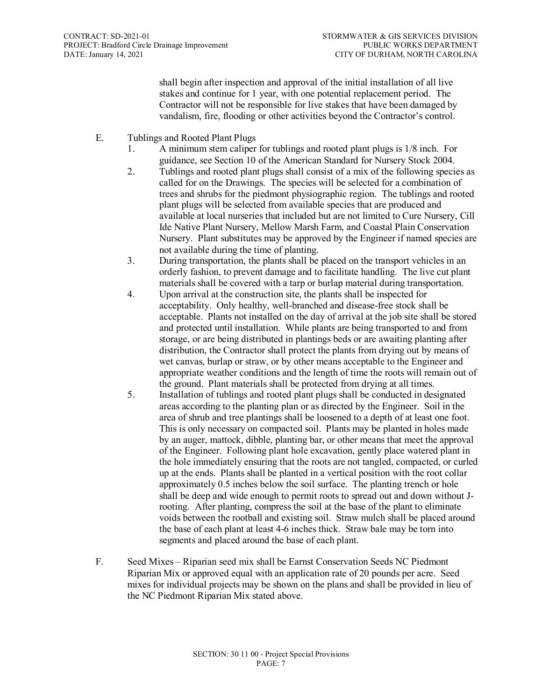shall begin after inspection and approval of the initial installation of all live stakes and continue for 1 year, with one potential replacement period. The Contractor will not be responsible for live stakes that have been damaged by vandalism, fire, flooding or other activities beyond the Contractor's control.

- E. Tublings and Rooted Plant Plugs
	- 1. A minimum stem caliper for tublings and rooted plant plugs is 1/8 inch. For guidance, see Section 10 of the American Standard for Nursery Stock 2004.
	- 2. Tublings and rooted plant plugs shall consist of a mix of the following species as called for on the Drawings. The species will be selected for a combination of trees and shrubs for the piedmont physiographic region. The tublings and rooted plant plugs will be selected from available species that are produced and available at local nurseries that included but are not limited to Cure Nursery, Cill Ide Native Plant Nursery, Mellow Marsh Farm, and Coastal Plain Conservation Nursery. Plant substitutes may be approved by the Engineer if named species are not available during the time of planting.
	- 3. During transportation, the plants shall be placed on the transport vehicles in an orderly fashion, to prevent damage and to facilitate handling. The live cut plant materials shall be covered with a tarp or burlap material during transportation.
	- 4. Upon arrival at the construction site, the plants shall be inspected for acceptability. Only healthy, well-branched and disease-free stock shall be acceptable. Plants not installed on the day of arrival at the job site shall be stored and protected until installation. While plants are being transported to and from storage, or are being distributed in plantings beds or are awaiting planting after distribution, the Contractor shall protect the plants from drying out by means of wet canvas, burlap or straw, or by other means acceptable to the Engineer and appropriate weather conditions and the length of time the roots will remain out of the ground. Plant materials shall be protected from drying at all times.
	- 5. Installation of tublings and rooted plant plugs shall be conducted in designated areas according to the planting plan or as directed by the Engineer. Soil in the area of shrub and tree plantings shall be loosened to a depth of at least one foot. This is only necessary on compacted soil. Plants may be planted in holes made by an auger, mattock, dibble, planting bar, or other means that meet the approval of the Engineer. Following plant hole excavation, gently place watered plant in the hole immediately ensuring that the roots are not tangled, compacted, or curled up at the ends. Plants shall be planted in a vertical position with the root collar approximately 0.5 inches below the soil surface. The planting trench or hole shall be deep and wide enough to permit roots to spread out and down without Jrooting. After planting, compress the soil at the base of the plant to eliminate voids between the rootball and existing soil. Straw mulch shall be placed around the base of each plant at least 4-6 inches thick. Straw bale may be torn into segments and placed around the base of each plant.
- F. Seed Mixes Riparian seed mix shall be Earnst Conservation Seeds NC Piedmont Riparian Mix or approved equal with an application rate of 20 pounds per acre. Seed mixes for individual projects may be shown on the plans and shall be provided in lieu of the NC Piedmont Riparian Mix stated above.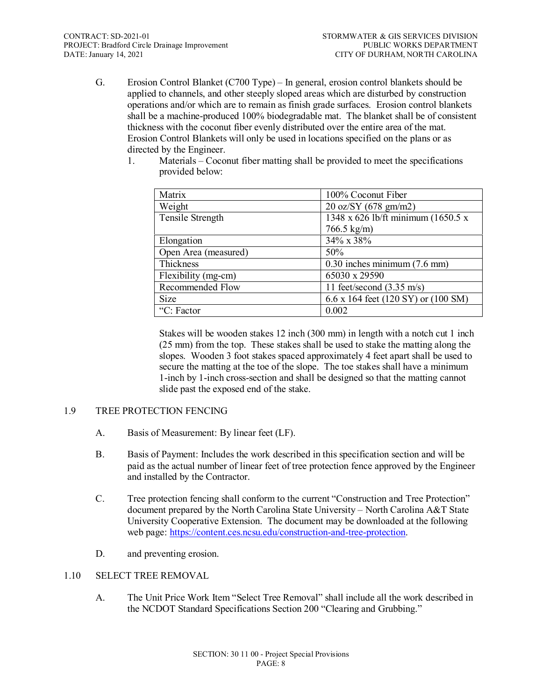G. Erosion Control Blanket (C700 Type) – In general, erosion control blankets should be applied to channels, and other steeply sloped areas which are disturbed by construction operations and/or which are to remain as finish grade surfaces. Erosion control blankets shall be a machine-produced 100% biodegradable mat. The blanket shall be of consistent thickness with the coconut fiber evenly distributed over the entire area of the mat. Erosion Control Blankets will only be used in locations specified on the plans or as directed by the Engineer.

| Matrix               | 100% Coconut Fiber                        |
|----------------------|-------------------------------------------|
| Weight               | $20 \text{ oz/SY } (678 \text{ gm/m2})$   |
| Tensile Strength     | 1348 x 626 lb/ft minimum (1650.5 x        |
|                      | $766.5 \text{ kg/m}$                      |
| Elongation           | 34% x 38%                                 |
| Open Area (measured) | 50%                                       |
| <b>Thickness</b>     | $\overline{0.30}$ inches minimum (7.6 mm) |
| Flexibility (mg-cm)  | 65030 x 29590                             |
| Recommended Flow     | 11 feet/second $(3.35 \text{ m/s})$       |
| <b>Size</b>          | 6.6 x 164 feet (120 SY) or (100 SM)       |
| "C: Factor"          | 0.002                                     |

1. Materials – Coconut fiber matting shall be provided to meet the specifications provided below:

Stakes will be wooden stakes 12 inch (300 mm) in length with a notch cut 1 inch (25 mm) from the top. These stakes shall be used to stake the matting along the slopes. Wooden 3 foot stakes spaced approximately 4 feet apart shall be used to secure the matting at the toe of the slope. The toe stakes shall have a minimum 1-inch by 1-inch cross-section and shall be designed so that the matting cannot slide past the exposed end of the stake.

# 1.9 TREE PROTECTION FENCING

- A. Basis of Measurement: By linear feet (LF).
- B. Basis of Payment: Includes the work described in this specification section and will be paid as the actual number of linear feet of tree protection fence approved by the Engineer and installed by the Contractor.
- C. Tree protection fencing shall conform to the current "Construction and Tree Protection" document prepared by the North Carolina State University – North Carolina A&T State University Cooperative Extension. The document may be downloaded at the following web page: [https://content.ces.ncsu.edu/construction-and-tree-protection.](https://content.ces.ncsu.edu/construction-and-tree-protection)
- D. and preventing erosion.

# 1.10 SELECT TREE REMOVAL

A. The Unit Price Work Item "Select Tree Removal" shall include all the work described in the NCDOT Standard Specifications Section 200 "Clearing and Grubbing."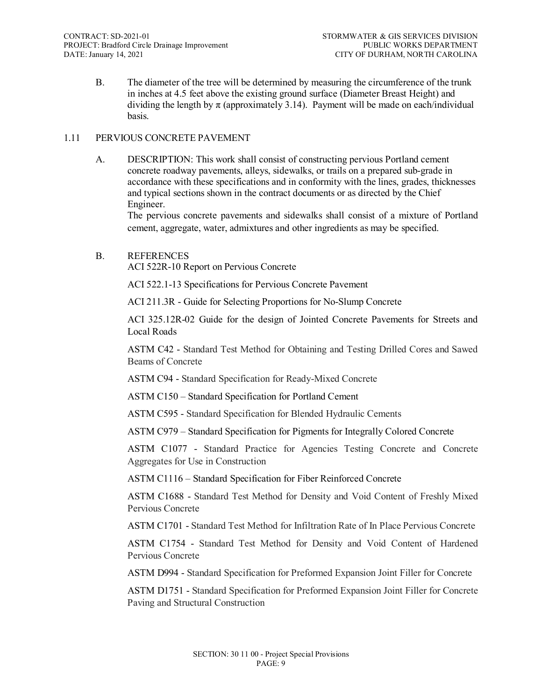B. The diameter of the tree will be determined by measuring the circumference of the trunk in inches at 4.5 feet above the existing ground surface (Diameter Breast Height) and dividing the length by  $\pi$  (approximately 3.14). Payment will be made on each/individual basis.

#### 1.11 PERVIOUS CONCRETE PAVEMENT

A. DESCRIPTION: This work shall consist of constructing pervious Portland cement concrete roadway pavements, alleys, sidewalks, or trails on a prepared sub-grade in accordance with these specifications and in conformity with the lines, grades, thicknesses and typical sections shown in the contract documents or as directed by the Chief Engineer.

The pervious concrete pavements and sidewalks shall consist of a mixture of Portland cement, aggregate, water, admixtures and other ingredients as may be specified.

#### B. REFERENCES

ACI 522R-10 Report on Pervious Concrete

ACI 522.1-13 Specifications for Pervious Concrete Pavement

ACI 211.3R - Guide for Selecting Proportions for No-Slump Concrete

ACI 325.12R-02 Guide for the design of Jointed Concrete Pavements for Streets and Local Roads

ASTM C42 - Standard Test Method for Obtaining and Testing Drilled Cores and Sawed Beams of Concrete

ASTM C94 - Standard Specification for Ready-Mixed Concrete

ASTM C150 – Standard Specification for Portland Cement

ASTM C595 - Standard Specification for Blended Hydraulic Cements

ASTM C979 – Standard Specification for Pigments for Integrally Colored Concrete

ASTM C1077 - Standard Practice for Agencies Testing Concrete and Concrete Aggregates for Use in Construction

ASTM C1116 – Standard Specification for Fiber Reinforced Concrete

ASTM C1688 - Standard Test Method for Density and Void Content of Freshly Mixed Pervious Concrete

ASTM C1701 - Standard Test Method for Infiltration Rate of In Place Pervious Concrete

ASTM C1754 - Standard Test Method for Density and Void Content of Hardened Pervious Concrete

ASTM D994 - Standard Specification for Preformed Expansion Joint Filler for Concrete

ASTM D1751 - Standard Specification for Preformed Expansion Joint Filler for Concrete Paving and Structural Construction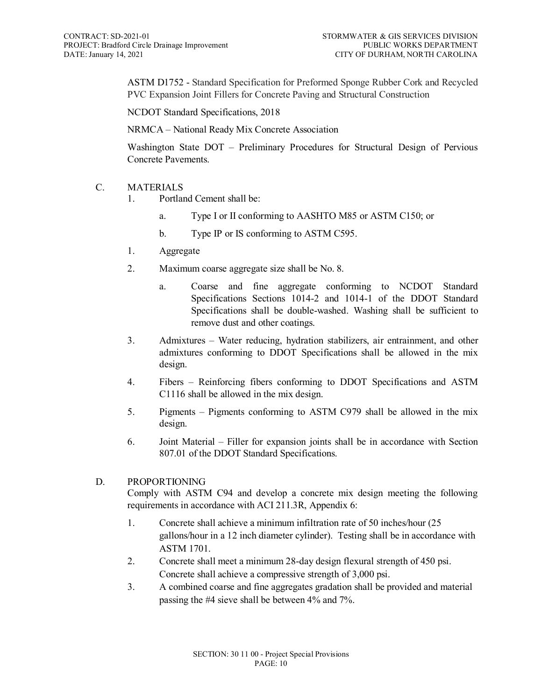ASTM D1752 - Standard Specification for Preformed Sponge Rubber Cork and Recycled PVC Expansion Joint Fillers for Concrete Paving and Structural Construction

NCDOT Standard Specifications, 2018

NRMCA – National Ready Mix Concrete Association

Washington State DOT – Preliminary Procedures for Structural Design of Pervious Concrete Pavements.

# C. MATERIALS

- 1. Portland Cement shall be:
	- a. Type I or II conforming to AASHTO M85 or ASTM C150; or
	- b. Type IP or IS conforming to ASTM C595.
- 1. Aggregate
- 2. Maximum coarse aggregate size shall be No. 8.
	- a. Coarse and fine aggregate conforming to NCDOT Standard Specifications Sections 1014-2 and 1014-1 of the DDOT Standard Specifications shall be double-washed. Washing shall be sufficient to remove dust and other coatings.
- 3. Admixtures Water reducing, hydration stabilizers, air entrainment, and other admixtures conforming to DDOT Specifications shall be allowed in the mix design.
- 4. Fibers Reinforcing fibers conforming to DDOT Specifications and ASTM C1116 shall be allowed in the mix design.
- 5. Pigments Pigments conforming to ASTM C979 shall be allowed in the mix design.
- 6. Joint Material Filler for expansion joints shall be in accordance with Section 807.01 of the DDOT Standard Specifications.

# D. PROPORTIONING

Comply with ASTM C94 and develop a concrete mix design meeting the following requirements in accordance with ACI 211.3R, Appendix 6:

- 1. Concrete shall achieve a minimum infiltration rate of 50 inches/hour (25 gallons/hour in a 12 inch diameter cylinder). Testing shall be in accordance with ASTM 1701.
- 2. Concrete shall meet a minimum 28-day design flexural strength of 450 psi. Concrete shall achieve a compressive strength of 3,000 psi.
- 3. A combined coarse and fine aggregates gradation shall be provided and material passing the #4 sieve shall be between 4% and 7%.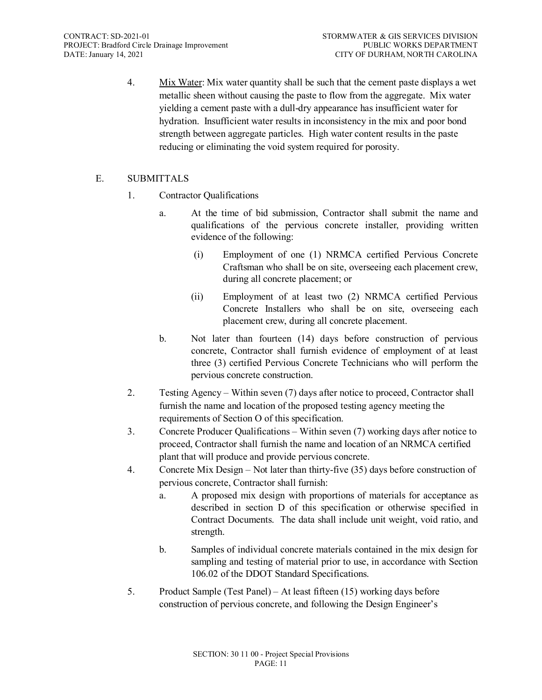4. Mix Water: Mix water quantity shall be such that the cement paste displays a wet metallic sheen without causing the paste to flow from the aggregate. Mix water yielding a cement paste with a dull-dry appearance has insufficient water for hydration. Insufficient water results in inconsistency in the mix and poor bond strength between aggregate particles. High water content results in the paste reducing or eliminating the void system required for porosity.

# E. SUBMITTALS

- 1. Contractor Qualifications
	- a. At the time of bid submission, Contractor shall submit the name and qualifications of the pervious concrete installer, providing written evidence of the following:
		- (i) Employment of one (1) NRMCA certified Pervious Concrete Craftsman who shall be on site, overseeing each placement crew, during all concrete placement; or
		- (ii) Employment of at least two (2) NRMCA certified Pervious Concrete Installers who shall be on site, overseeing each placement crew, during all concrete placement.
	- b. Not later than fourteen (14) days before construction of pervious concrete, Contractor shall furnish evidence of employment of at least three (3) certified Pervious Concrete Technicians who will perform the pervious concrete construction.
- 2. Testing Agency Within seven (7) days after notice to proceed, Contractor shall furnish the name and location of the proposed testing agency meeting the requirements of Section O of this specification.
- 3. Concrete Producer Qualifications Within seven (7) working days after notice to proceed, Contractor shall furnish the name and location of an NRMCA certified plant that will produce and provide pervious concrete.
- 4. Concrete Mix Design Not later than thirty-five (35) days before construction of pervious concrete, Contractor shall furnish:
	- a. A proposed mix design with proportions of materials for acceptance as described in section D of this specification or otherwise specified in Contract Documents. The data shall include unit weight, void ratio, and strength.
	- b. Samples of individual concrete materials contained in the mix design for sampling and testing of material prior to use, in accordance with Section 106.02 of the DDOT Standard Specifications.
- 5. Product Sample (Test Panel) At least fifteen (15) working days before construction of pervious concrete, and following the Design Engineer's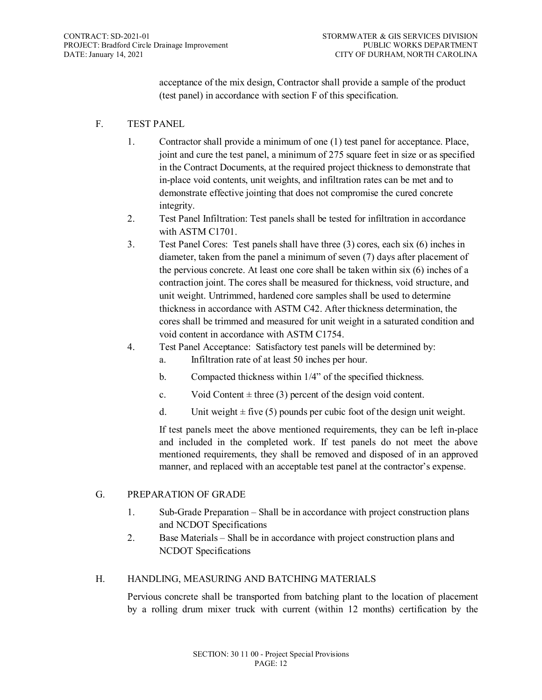acceptance of the mix design, Contractor shall provide a sample of the product (test panel) in accordance with section F of this specification.

# F. TEST PANEL

- 1. Contractor shall provide a minimum of one (1) test panel for acceptance. Place, joint and cure the test panel, a minimum of 275 square feet in size or as specified in the Contract Documents, at the required project thickness to demonstrate that in-place void contents, unit weights, and infiltration rates can be met and to demonstrate effective jointing that does not compromise the cured concrete integrity.
- 2. Test Panel Infiltration: Test panels shall be tested for infiltration in accordance with ASTM C1701.
- 3. Test Panel Cores: Test panels shall have three (3) cores, each six (6) inches in diameter, taken from the panel a minimum of seven (7) days after placement of the pervious concrete. At least one core shall be taken within six (6) inches of a contraction joint. The cores shall be measured for thickness, void structure, and unit weight. Untrimmed, hardened core samples shall be used to determine thickness in accordance with ASTM C42. After thickness determination, the cores shall be trimmed and measured for unit weight in a saturated condition and void content in accordance with ASTM C1754.
- 4. Test Panel Acceptance: Satisfactory test panels will be determined by:
	- a. Infiltration rate of at least 50 inches per hour.
	- b. Compacted thickness within 1/4" of the specified thickness.
	- c. Void Content  $\pm$  three (3) percent of the design void content.
	- d. Unit weight  $\pm$  five (5) pounds per cubic foot of the design unit weight.

If test panels meet the above mentioned requirements, they can be left in-place and included in the completed work. If test panels do not meet the above mentioned requirements, they shall be removed and disposed of in an approved manner, and replaced with an acceptable test panel at the contractor's expense.

#### G. PREPARATION OF GRADE

- 1. Sub-Grade Preparation Shall be in accordance with project construction plans and NCDOT Specifications
- 2. Base Materials Shall be in accordance with project construction plans and NCDOT Specifications

# H. HANDLING, MEASURING AND BATCHING MATERIALS

Pervious concrete shall be transported from batching plant to the location of placement by a rolling drum mixer truck with current (within 12 months) certification by the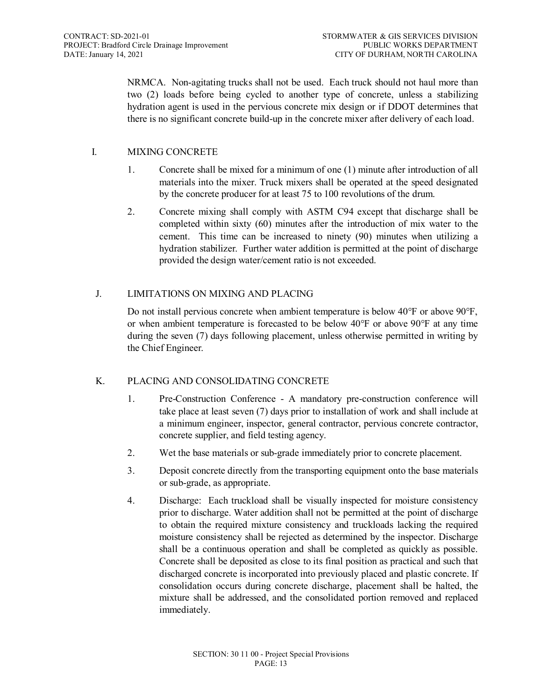NRMCA. Non-agitating trucks shall not be used. Each truck should not haul more than two (2) loads before being cycled to another type of concrete, unless a stabilizing hydration agent is used in the pervious concrete mix design or if DDOT determines that there is no significant concrete build-up in the concrete mixer after delivery of each load.

# I. MIXING CONCRETE

- 1. Concrete shall be mixed for a minimum of one (1) minute after introduction of all materials into the mixer. Truck mixers shall be operated at the speed designated by the concrete producer for at least 75 to 100 revolutions of the drum.
- 2. Concrete mixing shall comply with ASTM C94 except that discharge shall be completed within sixty (60) minutes after the introduction of mix water to the cement. This time can be increased to ninety (90) minutes when utilizing a hydration stabilizer. Further water addition is permitted at the point of discharge provided the design water/cement ratio is not exceeded.

# J. LIMITATIONS ON MIXING AND PLACING

Do not install pervious concrete when ambient temperature is below 40°F or above 90°F, or when ambient temperature is forecasted to be below  $40^{\circ}$ F or above  $90^{\circ}$ F at any time during the seven (7) days following placement, unless otherwise permitted in writing by the Chief Engineer.

# K. PLACING AND CONSOLIDATING CONCRETE

- 1. Pre-Construction Conference A mandatory pre-construction conference will take place at least seven (7) days prior to installation of work and shall include at a minimum engineer, inspector, general contractor, pervious concrete contractor, concrete supplier, and field testing agency.
- 2. Wet the base materials or sub-grade immediately prior to concrete placement.
- 3. Deposit concrete directly from the transporting equipment onto the base materials or sub-grade, as appropriate.
- 4. Discharge: Each truckload shall be visually inspected for moisture consistency prior to discharge. Water addition shall not be permitted at the point of discharge to obtain the required mixture consistency and truckloads lacking the required moisture consistency shall be rejected as determined by the inspector. Discharge shall be a continuous operation and shall be completed as quickly as possible. Concrete shall be deposited as close to its final position as practical and such that discharged concrete is incorporated into previously placed and plastic concrete. If consolidation occurs during concrete discharge, placement shall be halted, the mixture shall be addressed, and the consolidated portion removed and replaced immediately.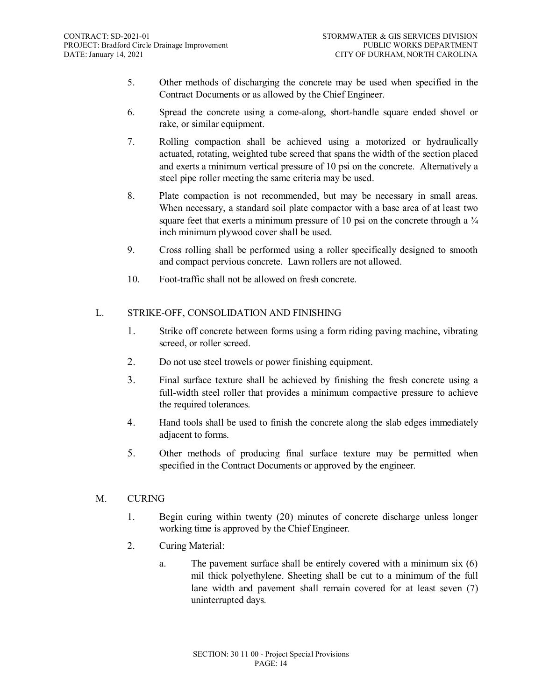- 5. Other methods of discharging the concrete may be used when specified in the Contract Documents or as allowed by the Chief Engineer.
- 6. Spread the concrete using a come-along, short-handle square ended shovel or rake, or similar equipment.
- 7. Rolling compaction shall be achieved using a motorized or hydraulically actuated, rotating, weighted tube screed that spans the width of the section placed and exerts a minimum vertical pressure of 10 psi on the concrete. Alternatively a steel pipe roller meeting the same criteria may be used.
- 8. Plate compaction is not recommended, but may be necessary in small areas. When necessary, a standard soil plate compactor with a base area of at least two square feet that exerts a minimum pressure of 10 psi on the concrete through a  $\frac{3}{4}$ inch minimum plywood cover shall be used.
- 9. Cross rolling shall be performed using a roller specifically designed to smooth and compact pervious concrete. Lawn rollers are not allowed.
- 10. Foot-traffic shall not be allowed on fresh concrete.

# L. STRIKE-OFF, CONSOLIDATION AND FINISHING

- 1. Strike off concrete between forms using a form riding paving machine, vibrating screed, or roller screed.
- 2. Do not use steel trowels or power finishing equipment.
- 3. Final surface texture shall be achieved by finishing the fresh concrete using a full-width steel roller that provides a minimum compactive pressure to achieve the required tolerances.
- 4. Hand tools shall be used to finish the concrete along the slab edges immediately adjacent to forms.
- 5. Other methods of producing final surface texture may be permitted when specified in the Contract Documents or approved by the engineer.

# M. CURING

- 1. Begin curing within twenty (20) minutes of concrete discharge unless longer working time is approved by the Chief Engineer.
- 2. Curing Material:
	- a. The pavement surface shall be entirely covered with a minimum six (6) mil thick polyethylene. Sheeting shall be cut to a minimum of the full lane width and pavement shall remain covered for at least seven (7) uninterrupted days.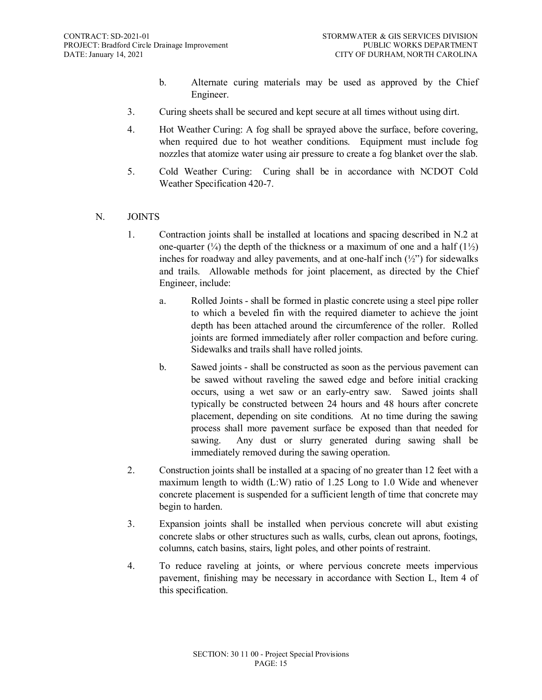- b. Alternate curing materials may be used as approved by the Chief Engineer.
- 3. Curing sheets shall be secured and kept secure at all times without using dirt.
- 4. Hot Weather Curing: A fog shall be sprayed above the surface, before covering, when required due to hot weather conditions. Equipment must include fog nozzles that atomize water using air pressure to create a fog blanket over the slab.
- 5. Cold Weather Curing: Curing shall be in accordance with NCDOT Cold Weather Specification 420-7.

#### N. JOINTS

- 1. Contraction joints shall be installed at locations and spacing described in N.2 at one-quarter  $(\frac{1}{4})$  the depth of the thickness or a maximum of one and a half  $(1\frac{1}{2})$ inches for roadway and alley pavements, and at one-half inch  $(\frac{1}{2})^{\circ}$  for sidewalks and trails. Allowable methods for joint placement, as directed by the Chief Engineer, include:
	- a. Rolled Joints shall be formed in plastic concrete using a steel pipe roller to which a beveled fin with the required diameter to achieve the joint depth has been attached around the circumference of the roller. Rolled joints are formed immediately after roller compaction and before curing. Sidewalks and trails shall have rolled joints.
	- b. Sawed joints shall be constructed as soon as the pervious pavement can be sawed without raveling the sawed edge and before initial cracking occurs, using a wet saw or an early-entry saw. Sawed joints shall typically be constructed between 24 hours and 48 hours after concrete placement, depending on site conditions. At no time during the sawing process shall more pavement surface be exposed than that needed for sawing. Any dust or slurry generated during sawing shall be immediately removed during the sawing operation.
- 2. Construction joints shall be installed at a spacing of no greater than 12 feet with a maximum length to width (L:W) ratio of 1.25 Long to 1.0 Wide and whenever concrete placement is suspended for a sufficient length of time that concrete may begin to harden.
- 3. Expansion joints shall be installed when pervious concrete will abut existing concrete slabs or other structures such as walls, curbs, clean out aprons, footings, columns, catch basins, stairs, light poles, and other points of restraint.
- 4. To reduce raveling at joints, or where pervious concrete meets impervious pavement, finishing may be necessary in accordance with Section L, Item 4 of this specification.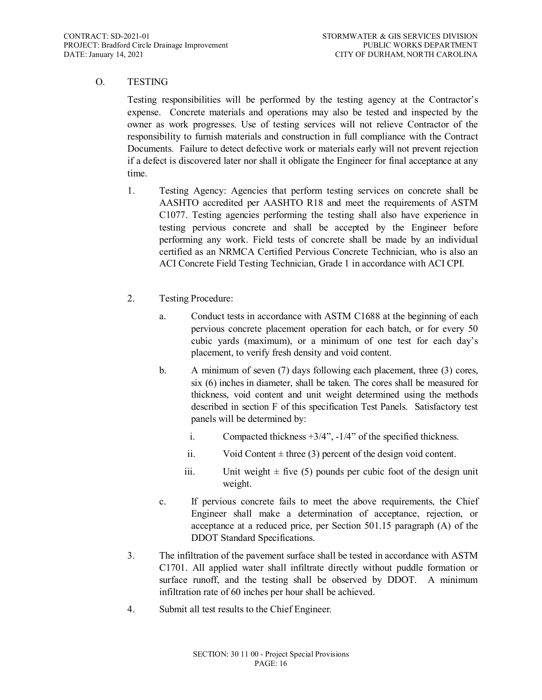# O. TESTING

Testing responsibilities will be performed by the testing agency at the Contractor's expense. Concrete materials and operations may also be tested and inspected by the owner as work progresses. Use of testing services will not relieve Contractor of the responsibility to furnish materials and construction in full compliance with the Contract Documents. Failure to detect defective work or materials early will not prevent rejection if a defect is discovered later nor shall it obligate the Engineer for final acceptance at any time.

- 1. Testing Agency: Agencies that perform testing services on concrete shall be AASHTO accredited per AASHTO R18 and meet the requirements of ASTM C1077. Testing agencies performing the testing shall also have experience in testing pervious concrete and shall be accepted by the Engineer before performing any work. Field tests of concrete shall be made by an individual certified as an NRMCA Certified Pervious Concrete Technician, who is also an ACI Concrete Field Testing Technician, Grade 1 in accordance with ACI CPI.
- 2. Testing Procedure:
	- a. Conduct tests in accordance with ASTM C1688 at the beginning of each pervious concrete placement operation for each batch, or for every 50 cubic yards (maximum), or a minimum of one test for each day's placement, to verify fresh density and void content.
	- b. A minimum of seven (7) days following each placement, three (3) cores, six (6) inches in diameter, shall be taken. The cores shall be measured for thickness, void content and unit weight determined using the methods described in section F of this specification Test Panels. Satisfactory test panels will be determined by:
		- i. Compacted thickness +3/4", -1/4" of the specified thickness.
		- ii. Void Content  $\pm$  three (3) percent of the design void content.
		- iii. Unit weight  $\pm$  five (5) pounds per cubic foot of the design unit weight.
	- c. If pervious concrete fails to meet the above requirements, the Chief Engineer shall make a determination of acceptance, rejection, or acceptance at a reduced price, per Section 501.15 paragraph (A) of the DDOT Standard Specifications.
- 3. The infiltration of the pavement surface shall be tested in accordance with ASTM C1701. All applied water shall infiltrate directly without puddle formation or surface runoff, and the testing shall be observed by DDOT. A minimum infiltration rate of 60 inches per hour shall be achieved.
- 4. Submit all test results to the Chief Engineer.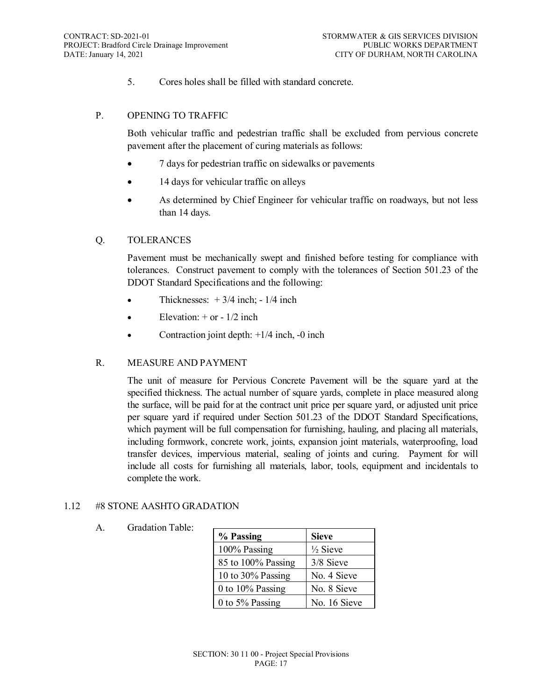5. Cores holes shall be filled with standard concrete.

#### P. OPENING TO TRAFFIC

Both vehicular traffic and pedestrian traffic shall be excluded from pervious concrete pavement after the placement of curing materials as follows:

- 7 days for pedestrian traffic on sidewalks or pavements
- 14 days for vehicular traffic on alleys
- As determined by Chief Engineer for vehicular traffic on roadways, but not less than 14 days.

#### Q. TOLERANCES

Pavement must be mechanically swept and finished before testing for compliance with tolerances. Construct pavement to comply with the tolerances of Section 501.23 of the DDOT Standard Specifications and the following:

- Thicknesses:  $+3/4$  inch;  $-1/4$  inch
- Elevation:  $+$  or  $-1/2$  inch
- Contraction joint depth:  $+1/4$  inch,  $-0$  inch

#### R. MEASURE AND PAYMENT

The unit of measure for Pervious Concrete Pavement will be the square yard at the specified thickness. The actual number of square yards, complete in place measured along the surface, will be paid for at the contract unit price per square yard, or adjusted unit price per square yard if required under Section 501.23 of the DDOT Standard Specifications, which payment will be full compensation for furnishing, hauling, and placing all materials, including formwork, concrete work, joints, expansion joint materials, waterproofing, load transfer devices, impervious material, sealing of joints and curing. Payment for will include all costs for furnishing all materials, labor, tools, equipment and incidentals to complete the work.

#### 1.12 #8 STONE AASHTO GRADATION

# A. Gradation Table:

| % Passing          | <b>Sieve</b>        |
|--------------------|---------------------|
| 100% Passing       | $\frac{1}{2}$ Sieve |
| 85 to 100% Passing | 3/8 Sieve           |
| 10 to 30% Passing  | No. 4 Sieve         |
| 0 to 10% Passing   | No. 8 Sieve         |
| 0 to $5\%$ Passing | No. 16 Sieve        |